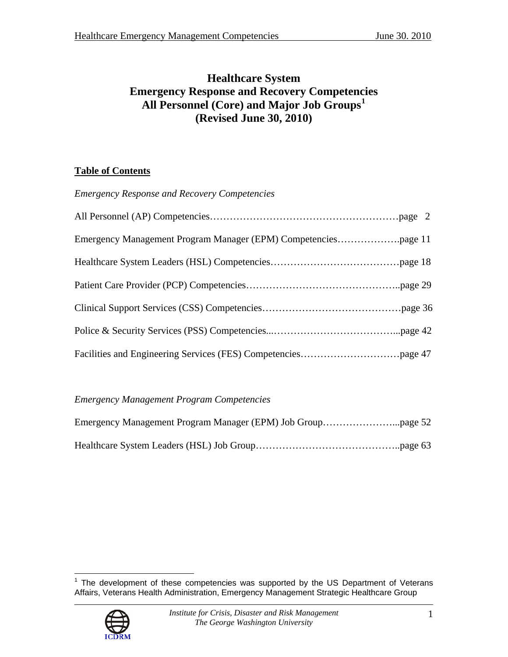# **Healthcare System Emergency Response and Recovery Competencies All Personnel (Core) and Major Job Groups[1](#page-0-0) (Revised June 30, 2010)**

# **Table of Contents**

*Emergency Response and Recovery Competencies* 

# *Emergency Management Program Competencies*

<span id="page-0-0"></span> 1 The development of these competencies was supported by the US Department of Veterans Affairs, Veterans Health Administration, Emergency Management Strategic Healthcare Group

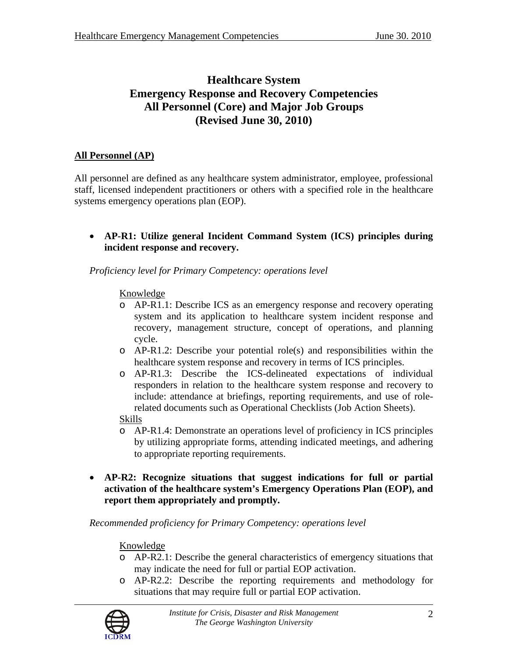# **Healthcare System Emergency Response and Recovery Competencies All Personnel (Core) and Major Job Groups (Revised June 30, 2010)**

# **All Personnel (AP)**

All personnel are defined as any healthcare system administrator, employee, professional staff, licensed independent practitioners or others with a specified role in the healthcare systems emergency operations plan (EOP).

• **AP-R1: Utilize general Incident Command System (ICS) principles during incident response and recovery.** 

*Proficiency level for Primary Competency: operations level* 

# Knowledge

- o AP-R1.1: Describe ICS as an emergency response and recovery operating system and its application to healthcare system incident response and recovery, management structure, concept of operations, and planning cycle.
- o AP-R1.2: Describe your potential role(s) and responsibilities within the healthcare system response and recovery in terms of ICS principles.
- o AP-R1.3: Describe the ICS-delineated expectations of individual responders in relation to the healthcare system response and recovery to include: attendance at briefings, reporting requirements, and use of rolerelated documents such as Operational Checklists (Job Action Sheets).
- Skills
- o AP-R1.4: Demonstrate an operations level of proficiency in ICS principles by utilizing appropriate forms, attending indicated meetings, and adhering to appropriate reporting requirements.
- **AP-R2: Recognize situations that suggest indications for full or partial activation of the healthcare system's Emergency Operations Plan (EOP), and report them appropriately and promptly.**

*Recommended proficiency for Primary Competency: operations level* 

- o AP-R2.1: Describe the general characteristics of emergency situations that may indicate the need for full or partial EOP activation.
- o AP-R2.2: Describe the reporting requirements and methodology for situations that may require full or partial EOP activation.

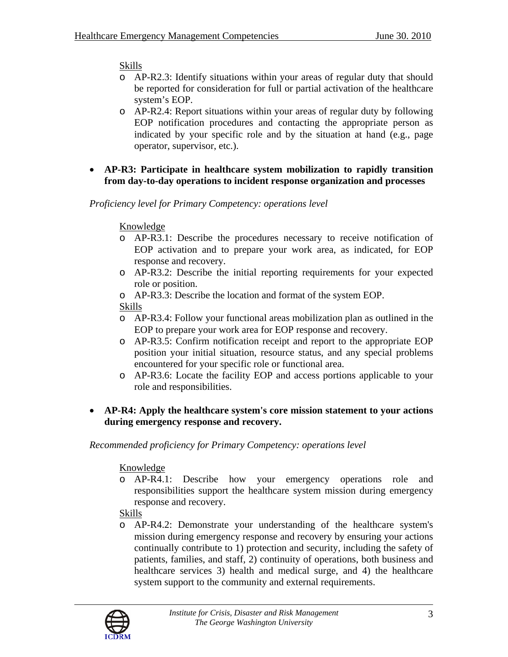# Skills

- o AP-R2.3: Identify situations within your areas of regular duty that should be reported for consideration for full or partial activation of the healthcare system's EOP.
- o AP-R2.4: Report situations within your areas of regular duty by following EOP notification procedures and contacting the appropriate person as indicated by your specific role and by the situation at hand (e.g., page operator, supervisor, etc.).
- **AP-R3: Participate in healthcare system mobilization to rapidly transition from day-to-day operations to incident response organization and processes**

# *Proficiency level for Primary Competency: operations level*

### Knowledge

- o AP-R3.1: Describe the procedures necessary to receive notification of EOP activation and to prepare your work area, as indicated, for EOP response and recovery.
- o AP-R3.2: Describe the initial reporting requirements for your expected role or position.
- o AP-R3.3: Describe the location and format of the system EOP.

Skills

- o AP-R3.4: Follow your functional areas mobilization plan as outlined in the EOP to prepare your work area for EOP response and recovery.
- o AP-R3.5: Confirm notification receipt and report to the appropriate EOP position your initial situation, resource status, and any special problems encountered for your specific role or functional area.
- o AP-R3.6: Locate the facility EOP and access portions applicable to your role and responsibilities.
- **AP-R4: Apply the healthcare system's core mission statement to your actions during emergency response and recovery.**

*Recommended proficiency for Primary Competency: operations level* 

# Knowledge

o AP-R4.1: Describe how your emergency operations role and responsibilities support the healthcare system mission during emergency response and recovery.

Skills

o AP-R4.2: Demonstrate your understanding of the healthcare system's mission during emergency response and recovery by ensuring your actions continually contribute to 1) protection and security, including the safety of patients, families, and staff, 2) continuity of operations, both business and healthcare services 3) health and medical surge, and 4) the healthcare system support to the community and external requirements.

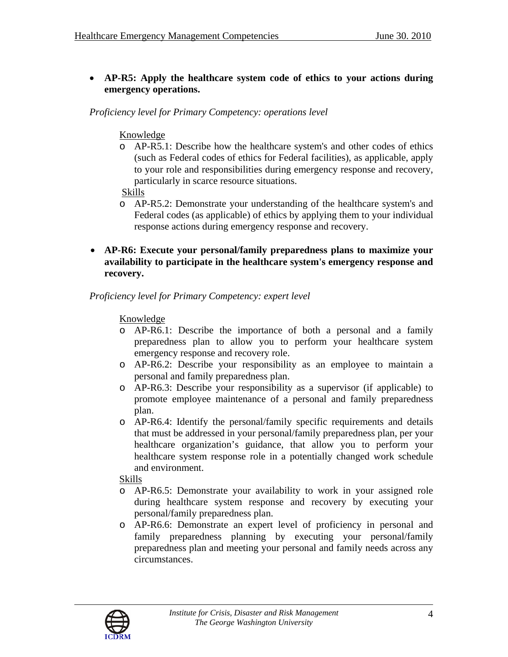# • **AP-R5: Apply the healthcare system code of ethics to your actions during emergency operations.**

*Proficiency level for Primary Competency: operations level* 

### Knowledge

o AP-R5.1: Describe how the healthcare system's and other codes of ethics (such as Federal codes of ethics for Federal facilities), as applicable, apply to your role and responsibilities during emergency response and recovery, particularly in scarce resource situations.

Skills

- o AP-R5.2: Demonstrate your understanding of the healthcare system's and Federal codes (as applicable) of ethics by applying them to your individual response actions during emergency response and recovery.
- **AP-R6: Execute your personal/family preparedness plans to maximize your availability to participate in the healthcare system's emergency response and recovery.**

### *Proficiency level for Primary Competency: expert level*

# Knowledge

- o AP-R6.1: Describe the importance of both a personal and a family preparedness plan to allow you to perform your healthcare system emergency response and recovery role.
- o AP-R6.2: Describe your responsibility as an employee to maintain a personal and family preparedness plan.
- o AP-R6.3: Describe your responsibility as a supervisor (if applicable) to promote employee maintenance of a personal and family preparedness plan.
- o AP-R6.4: Identify the personal/family specific requirements and details that must be addressed in your personal/family preparedness plan, per your healthcare organization's guidance, that allow you to perform your healthcare system response role in a potentially changed work schedule and environment.

- o AP-R6.5: Demonstrate your availability to work in your assigned role during healthcare system response and recovery by executing your personal/family preparedness plan.
- o AP-R6.6: Demonstrate an expert level of proficiency in personal and family preparedness planning by executing your personal/family preparedness plan and meeting your personal and family needs across any circumstances.

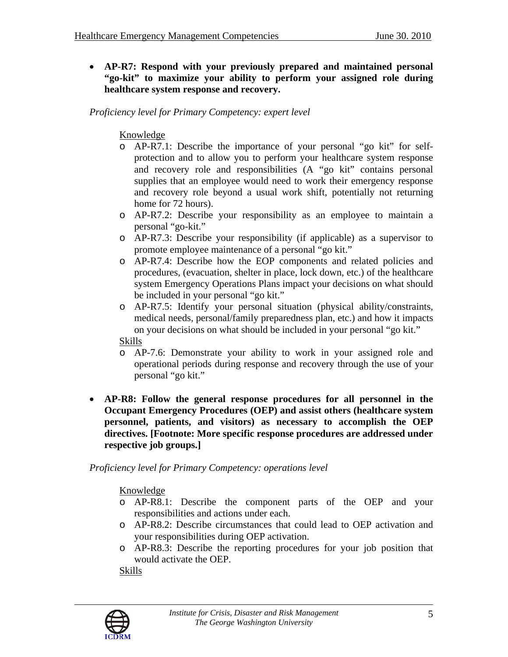• **AP-R7: Respond with your previously prepared and maintained personal "go-kit" to maximize your ability to perform your assigned role during healthcare system response and recovery.** 

*Proficiency level for Primary Competency: expert level* 

# Knowledge

- o AP-R7.1: Describe the importance of your personal "go kit" for selfprotection and to allow you to perform your healthcare system response and recovery role and responsibilities (A "go kit" contains personal supplies that an employee would need to work their emergency response and recovery role beyond a usual work shift, potentially not returning home for 72 hours).
- o AP-R7.2: Describe your responsibility as an employee to maintain a personal "go-kit."
- o AP-R7.3: Describe your responsibility (if applicable) as a supervisor to promote employee maintenance of a personal "go kit."
- o AP-R7.4: Describe how the EOP components and related policies and procedures, (evacuation, shelter in place, lock down, etc.) of the healthcare system Emergency Operations Plans impact your decisions on what should be included in your personal "go kit."
- o AP-R7.5: Identify your personal situation (physical ability/constraints, medical needs, personal/family preparedness plan, etc.) and how it impacts on your decisions on what should be included in your personal "go kit."

Skills

- o AP-7.6: Demonstrate your ability to work in your assigned role and operational periods during response and recovery through the use of your personal "go kit."
- **AP-R8: Follow the general response procedures for all personnel in the Occupant Emergency Procedures (OEP) and assist others (healthcare system personnel, patients, and visitors) as necessary to accomplish the OEP directives. [Footnote: More specific response procedures are addressed under respective job groups.]**

*Proficiency level for Primary Competency: operations level* 

Knowledge

- o AP-R8.1: Describe the component parts of the OEP and your responsibilities and actions under each.
- o AP-R8.2: Describe circumstances that could lead to OEP activation and your responsibilities during OEP activation.
- o AP-R8.3: Describe the reporting procedures for your job position that would activate the OEP.

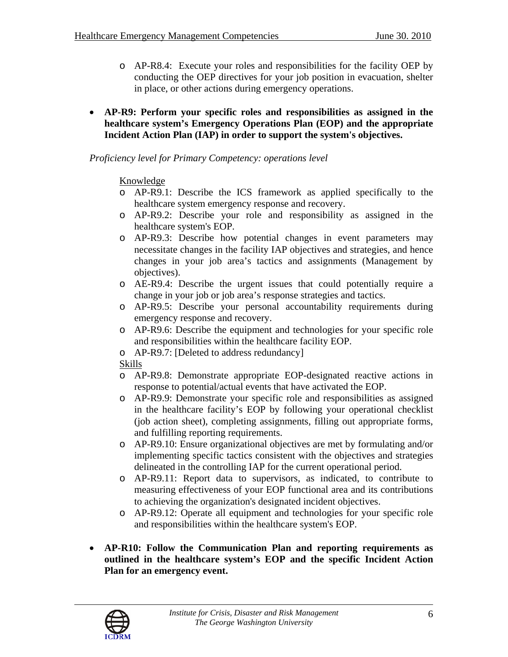- o AP-R8.4: Execute your roles and responsibilities for the facility OEP by conducting the OEP directives for your job position in evacuation, shelter in place, or other actions during emergency operations.
- **AP-R9: Perform your specific roles and responsibilities as assigned in the healthcare system's Emergency Operations Plan (EOP) and the appropriate Incident Action Plan (IAP) in order to support the system's objectives.**

### Knowledge

- o AP-R9.1: Describe the ICS framework as applied specifically to the healthcare system emergency response and recovery.
- o AP-R9.2: Describe your role and responsibility as assigned in the healthcare system's EOP.
- o AP-R9.3: Describe how potential changes in event parameters may necessitate changes in the facility IAP objectives and strategies, and hence changes in your job area's tactics and assignments (Management by objectives).
- o AE-R9.4: Describe the urgent issues that could potentially require a change in your job or job area's response strategies and tactics.
- o AP-R9.5: Describe your personal accountability requirements during emergency response and recovery.
- o AP-R9.6: Describe the equipment and technologies for your specific role and responsibilities within the healthcare facility EOP.
- o AP-R9.7: [Deleted to address redundancy]

- o AP-R9.8: Demonstrate appropriate EOP-designated reactive actions in response to potential/actual events that have activated the EOP.
- o AP-R9.9: Demonstrate your specific role and responsibilities as assigned in the healthcare facility's EOP by following your operational checklist (job action sheet), completing assignments, filling out appropriate forms, and fulfilling reporting requirements.
- o AP-R9.10: Ensure organizational objectives are met by formulating and/or implementing specific tactics consistent with the objectives and strategies delineated in the controlling IAP for the current operational period.
- o AP-R9.11: Report data to supervisors, as indicated, to contribute to measuring effectiveness of your EOP functional area and its contributions to achieving the organization's designated incident objectives.
- o AP-R9.12: Operate all equipment and technologies for your specific role and responsibilities within the healthcare system's EOP.
- **AP-R10: Follow the Communication Plan and reporting requirements as outlined in the healthcare system's EOP and the specific Incident Action Plan for an emergency event.**

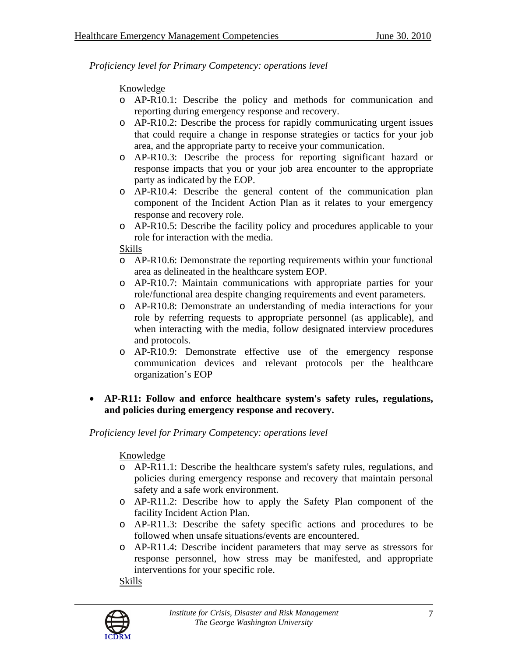# Knowledge

- o AP-R10.1: Describe the policy and methods for communication and reporting during emergency response and recovery.
- o AP-R10.2: Describe the process for rapidly communicating urgent issues that could require a change in response strategies or tactics for your job area, and the appropriate party to receive your communication.
- o AP-R10.3: Describe the process for reporting significant hazard or response impacts that you or your job area encounter to the appropriate party as indicated by the EOP.
- o AP-R10.4: Describe the general content of the communication plan component of the Incident Action Plan as it relates to your emergency response and recovery role.
- o AP-R10.5: Describe the facility policy and procedures applicable to your role for interaction with the media.

### Skills

- o AP-R10.6: Demonstrate the reporting requirements within your functional area as delineated in the healthcare system EOP.
- o AP-R10.7: Maintain communications with appropriate parties for your role/functional area despite changing requirements and event parameters.
- o AP-R10.8: Demonstrate an understanding of media interactions for your role by referring requests to appropriate personnel (as applicable), and when interacting with the media, follow designated interview procedures and protocols.
- o AP-R10.9: Demonstrate effective use of the emergency response communication devices and relevant protocols per the healthcare organization's EOP
- **AP-R11: Follow and enforce healthcare system's safety rules, regulations, and policies during emergency response and recovery.**

*Proficiency level for Primary Competency: operations level* 

# Knowledge

- o AP-R11.1: Describe the healthcare system's safety rules, regulations, and policies during emergency response and recovery that maintain personal safety and a safe work environment.
- o AP-R11.2: Describe how to apply the Safety Plan component of the facility Incident Action Plan.
- o AP-R11.3: Describe the safety specific actions and procedures to be followed when unsafe situations/events are encountered.
- o AP-R11.4: Describe incident parameters that may serve as stressors for response personnel, how stress may be manifested, and appropriate interventions for your specific role.

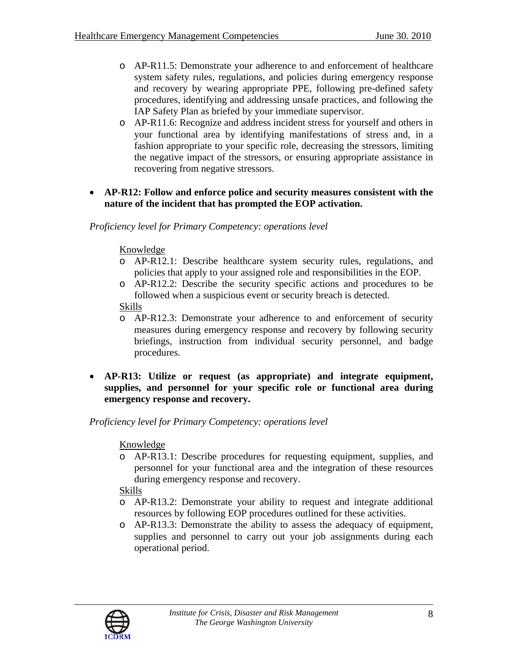- o AP-R11.5: Demonstrate your adherence to and enforcement of healthcare system safety rules, regulations, and policies during emergency response and recovery by wearing appropriate PPE, following pre-defined safety procedures, identifying and addressing unsafe practices, and following the IAP Safety Plan as briefed by your immediate supervisor.
- o AP-R11.6: Recognize and address incident stress for yourself and others in your functional area by identifying manifestations of stress and, in a fashion appropriate to your specific role, decreasing the stressors, limiting the negative impact of the stressors, or ensuring appropriate assistance in recovering from negative stressors.
- **AP-R12: Follow and enforce police and security measures consistent with the nature of the incident that has prompted the EOP activation.**

### Knowledge

- o AP-R12.1: Describe healthcare system security rules, regulations, and policies that apply to your assigned role and responsibilities in the EOP.
- o AP-R12.2: Describe the security specific actions and procedures to be followed when a suspicious event or security breach is detected.
- Skills
- o AP-R12.3: Demonstrate your adherence to and enforcement of security measures during emergency response and recovery by following security briefings, instruction from individual security personnel, and badge procedures.
- **AP-R13: Utilize or request (as appropriate) and integrate equipment, supplies, and personnel for your specific role or functional area during emergency response and recovery.**

# *Proficiency level for Primary Competency: operations level*

# Knowledge

o AP-R13.1: Describe procedures for requesting equipment, supplies, and personnel for your functional area and the integration of these resources during emergency response and recovery.

- o AP-R13.2: Demonstrate your ability to request and integrate additional resources by following EOP procedures outlined for these activities.
- o AP-R13.3: Demonstrate the ability to assess the adequacy of equipment, supplies and personnel to carry out your job assignments during each operational period.

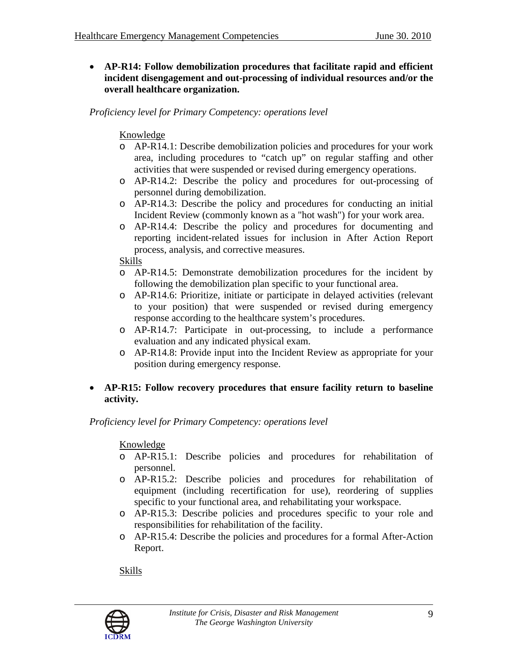• **AP-R14: Follow demobilization procedures that facilitate rapid and efficient incident disengagement and out-processing of individual resources and/or the overall healthcare organization.** 

*Proficiency level for Primary Competency: operations level* 

### Knowledge

- o AP-R14.1: Describe demobilization policies and procedures for your work area, including procedures to "catch up" on regular staffing and other activities that were suspended or revised during emergency operations.
- o AP-R14.2: Describe the policy and procedures for out-processing of personnel during demobilization.
- o AP-R14.3: Describe the policy and procedures for conducting an initial Incident Review (commonly known as a "hot wash") for your work area.
- o AP-R14.4: Describe the policy and procedures for documenting and reporting incident-related issues for inclusion in After Action Report process, analysis, and corrective measures.

#### Skills

- o AP-R14.5: Demonstrate demobilization procedures for the incident by following the demobilization plan specific to your functional area.
- o AP-R14.6: Prioritize, initiate or participate in delayed activities (relevant to your position) that were suspended or revised during emergency response according to the healthcare system's procedures.
- o AP-R14.7: Participate in out-processing, to include a performance evaluation and any indicated physical exam.
- o AP-R14.8: Provide input into the Incident Review as appropriate for your position during emergency response.

# • **AP-R15: Follow recovery procedures that ensure facility return to baseline activity.**

*Proficiency level for Primary Competency: operations level* 

# Knowledge

- o AP-R15.1: Describe policies and procedures for rehabilitation of personnel.
- o AP-R15.2: Describe policies and procedures for rehabilitation of equipment (including recertification for use), reordering of supplies specific to your functional area, and rehabilitating your workspace.
- o AP-R15.3: Describe policies and procedures specific to your role and responsibilities for rehabilitation of the facility.
- o AP-R15.4: Describe the policies and procedures for a formal After-Action Report.

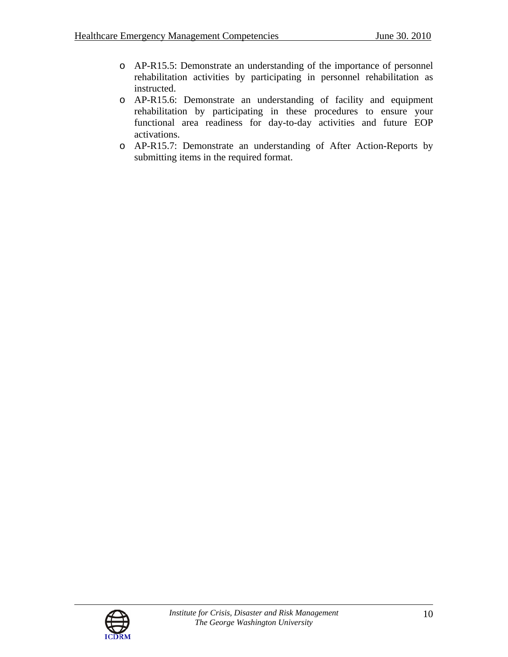- o AP-R15.5: Demonstrate an understanding of the importance of personnel rehabilitation activities by participating in personnel rehabilitation as instructed.
- o AP-R15.6: Demonstrate an understanding of facility and equipment rehabilitation by participating in these procedures to ensure your functional area readiness for day-to-day activities and future EOP activations.
- o AP-R15.7: Demonstrate an understanding of After Action-Reports by submitting items in the required format.

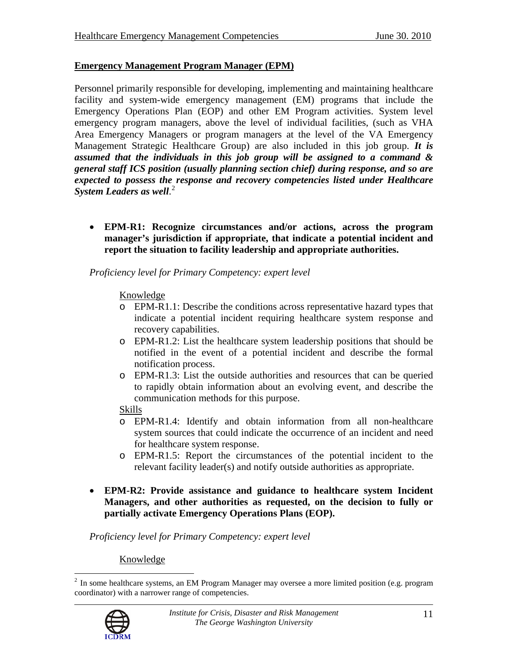### **Emergency Management Program Manager (EPM)**

Personnel primarily responsible for developing, implementing and maintaining healthcare facility and system-wide emergency management (EM) programs that include the Emergency Operations Plan (EOP) and other EM Program activities. System level emergency program managers, above the level of individual facilities, (such as VHA Area Emergency Managers or program managers at the level of the VA Emergency Management Strategic Healthcare Group) are also included in this job group. *It is assumed that the individuals in this job group will be assigned to a command & general staff ICS position (usually planning section chief) during response, and so are expected to possess the response and recovery competencies listed under Healthcare System Leaders as well*. [2](#page-10-0)

• **EPM-R1: Recognize circumstances and/or actions, across the program manager's jurisdiction if appropriate, that indicate a potential incident and report the situation to facility leadership and appropriate authorities.** 

*Proficiency level for Primary Competency: expert level* 

#### Knowledge

- o EPM-R1.1: Describe the conditions across representative hazard types that indicate a potential incident requiring healthcare system response and recovery capabilities.
- o EPM-R1.2: List the healthcare system leadership positions that should be notified in the event of a potential incident and describe the formal notification process.
- o EPM-R1.3: List the outside authorities and resources that can be queried to rapidly obtain information about an evolving event, and describe the communication methods for this purpose.

#### Skills

- o EPM-R1.4: Identify and obtain information from all non-healthcare system sources that could indicate the occurrence of an incident and need for healthcare system response.
- o EPM-R1.5: Report the circumstances of the potential incident to the relevant facility leader(s) and notify outside authorities as appropriate.
- **EPM-R2: Provide assistance and guidance to healthcare system Incident Managers, and other authorities as requested, on the decision to fully or partially activate Emergency Operations Plans (EOP).**

*Proficiency level for Primary Competency: expert level* 

<span id="page-10-0"></span> $\overline{a}$  $2$  In some healthcare systems, an EM Program Manager may oversee a more limited position (e.g. program coordinator) with a narrower range of competencies.

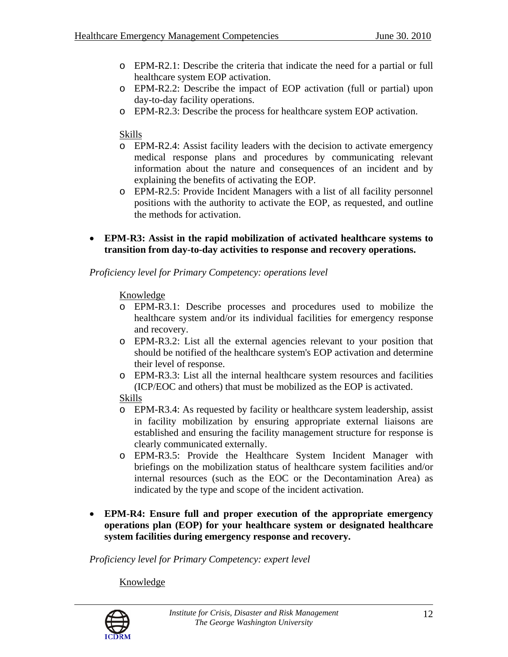- o EPM-R2.1: Describe the criteria that indicate the need for a partial or full healthcare system EOP activation.
- o EPM-R2.2: Describe the impact of EOP activation (full or partial) upon day-to-day facility operations.
- o EPM-R2.3: Describe the process for healthcare system EOP activation.

### Skills

- o EPM-R2.4: Assist facility leaders with the decision to activate emergency medical response plans and procedures by communicating relevant information about the nature and consequences of an incident and by explaining the benefits of activating the EOP.
- o EPM-R2.5: Provide Incident Managers with a list of all facility personnel positions with the authority to activate the EOP, as requested, and outline the methods for activation.
- **EPM-R3: Assist in the rapid mobilization of activated healthcare systems to transition from day-to-day activities to response and recovery operations.**

#### *Proficiency level for Primary Competency: operations level*

### Knowledge

- o EPM-R3.1: Describe processes and procedures used to mobilize the healthcare system and/or its individual facilities for emergency response and recovery.
- o EPM-R3.2: List all the external agencies relevant to your position that should be notified of the healthcare system's EOP activation and determine their level of response.
- o EPM-R3.3: List all the internal healthcare system resources and facilities (ICP/EOC and others) that must be mobilized as the EOP is activated.

#### Skills

- o EPM-R3.4: As requested by facility or healthcare system leadership, assist in facility mobilization by ensuring appropriate external liaisons are established and ensuring the facility management structure for response is clearly communicated externally.
- o EPM-R3.5: Provide the Healthcare System Incident Manager with briefings on the mobilization status of healthcare system facilities and/or internal resources (such as the EOC or the Decontamination Area) as indicated by the type and scope of the incident activation.
- **EPM-R4: Ensure full and proper execution of the appropriate emergency operations plan (EOP) for your healthcare system or designated healthcare system facilities during emergency response and recovery.**

*Proficiency level for Primary Competency: expert level* 

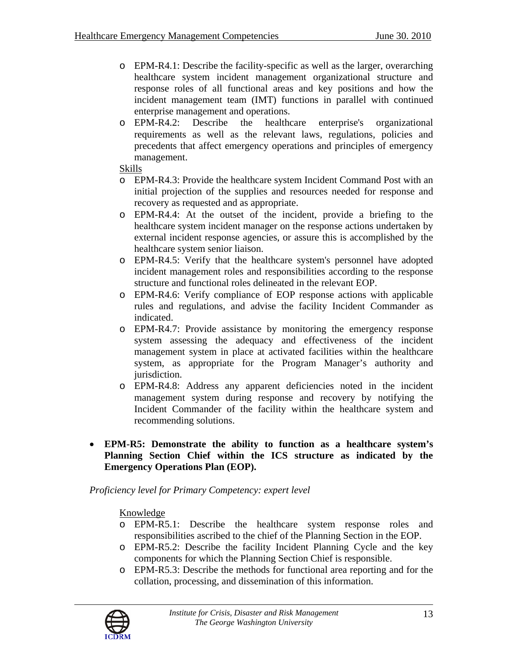- o EPM-R4.1: Describe the facility-specific as well as the larger, overarching healthcare system incident management organizational structure and response roles of all functional areas and key positions and how the incident management team (IMT) functions in parallel with continued enterprise management and operations.
- o EPM-R4.2: Describe the healthcare enterprise's organizational requirements as well as the relevant laws, regulations, policies and precedents that affect emergency operations and principles of emergency management.

### Skills

- o EPM-R4.3: Provide the healthcare system Incident Command Post with an initial projection of the supplies and resources needed for response and recovery as requested and as appropriate.
- o EPM-R4.4: At the outset of the incident, provide a briefing to the healthcare system incident manager on the response actions undertaken by external incident response agencies, or assure this is accomplished by the healthcare system senior liaison.
- o EPM-R4.5: Verify that the healthcare system's personnel have adopted incident management roles and responsibilities according to the response structure and functional roles delineated in the relevant EOP.
- o EPM-R4.6: Verify compliance of EOP response actions with applicable rules and regulations, and advise the facility Incident Commander as indicated.
- o EPM-R4.7: Provide assistance by monitoring the emergency response system assessing the adequacy and effectiveness of the incident management system in place at activated facilities within the healthcare system, as appropriate for the Program Manager's authority and jurisdiction.
- o EPM-R4.8: Address any apparent deficiencies noted in the incident management system during response and recovery by notifying the Incident Commander of the facility within the healthcare system and recommending solutions.
- **EPM-R5: Demonstrate the ability to function as a healthcare system's Planning Section Chief within the ICS structure as indicated by the Emergency Operations Plan (EOP).**

# *Proficiency level for Primary Competency: expert level*

- o EPM-R5.1: Describe the healthcare system response roles and responsibilities ascribed to the chief of the Planning Section in the EOP.
- o EPM-R5.2: Describe the facility Incident Planning Cycle and the key components for which the Planning Section Chief is responsible.
- o EPM-R5.3: Describe the methods for functional area reporting and for the collation, processing, and dissemination of this information.

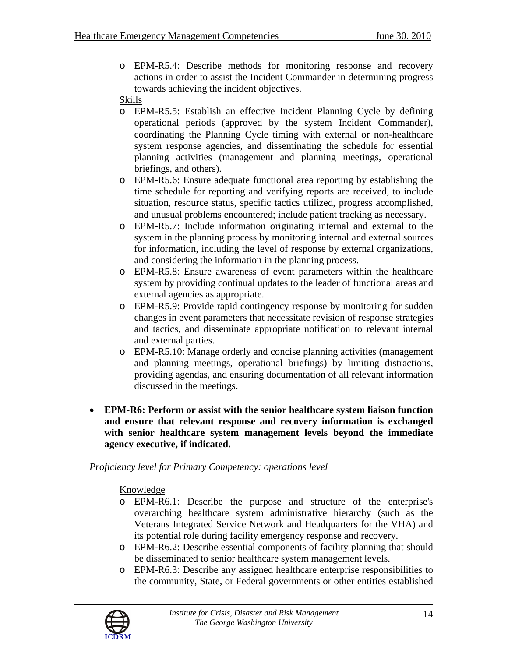o EPM-R5.4: Describe methods for monitoring response and recovery actions in order to assist the Incident Commander in determining progress towards achieving the incident objectives.

### Skills

- o EPM-R5.5: Establish an effective Incident Planning Cycle by defining operational periods (approved by the system Incident Commander), coordinating the Planning Cycle timing with external or non-healthcare system response agencies, and disseminating the schedule for essential planning activities (management and planning meetings, operational briefings, and others).
- o EPM-R5.6: Ensure adequate functional area reporting by establishing the time schedule for reporting and verifying reports are received, to include situation, resource status, specific tactics utilized, progress accomplished, and unusual problems encountered; include patient tracking as necessary.
- o EPM-R5.7: Include information originating internal and external to the system in the planning process by monitoring internal and external sources for information, including the level of response by external organizations, and considering the information in the planning process.
- o EPM-R5.8: Ensure awareness of event parameters within the healthcare system by providing continual updates to the leader of functional areas and external agencies as appropriate.
- o EPM-R5.9: Provide rapid contingency response by monitoring for sudden changes in event parameters that necessitate revision of response strategies and tactics, and disseminate appropriate notification to relevant internal and external parties.
- o EPM-R5.10: Manage orderly and concise planning activities (management and planning meetings, operational briefings) by limiting distractions, providing agendas, and ensuring documentation of all relevant information discussed in the meetings.
- **EPM-R6: Perform or assist with the senior healthcare system liaison function and ensure that relevant response and recovery information is exchanged with senior healthcare system management levels beyond the immediate agency executive, if indicated.**

*Proficiency level for Primary Competency: operations level* 

- o EPM-R6.1: Describe the purpose and structure of the enterprise's overarching healthcare system administrative hierarchy (such as the Veterans Integrated Service Network and Headquarters for the VHA) and its potential role during facility emergency response and recovery.
- o EPM-R6.2: Describe essential components of facility planning that should be disseminated to senior healthcare system management levels.
- o EPM-R6.3: Describe any assigned healthcare enterprise responsibilities to the community, State, or Federal governments or other entities established

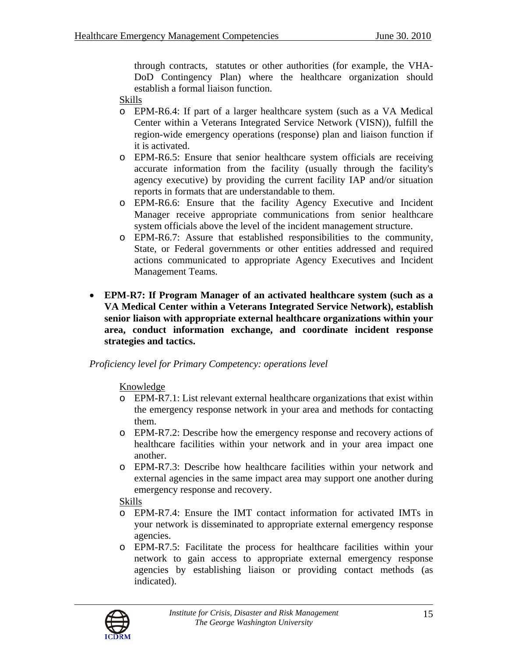through contracts, statutes or other authorities (for example, the VHA-DoD Contingency Plan) where the healthcare organization should establish a formal liaison function.

- Skills
- o EPM-R6.4: If part of a larger healthcare system (such as a VA Medical Center within a Veterans Integrated Service Network (VISN)), fulfill the region-wide emergency operations (response) plan and liaison function if it is activated.
- o EPM-R6.5: Ensure that senior healthcare system officials are receiving accurate information from the facility (usually through the facility's agency executive) by providing the current facility IAP and/or situation reports in formats that are understandable to them.
- o EPM-R6.6: Ensure that the facility Agency Executive and Incident Manager receive appropriate communications from senior healthcare system officials above the level of the incident management structure.
- o EPM-R6.7: Assure that established responsibilities to the community, State, or Federal governments or other entities addressed and required actions communicated to appropriate Agency Executives and Incident Management Teams.
- **EPM-R7: If Program Manager of an activated healthcare system (such as a VA Medical Center within a Veterans Integrated Service Network), establish senior liaison with appropriate external healthcare organizations within your area, conduct information exchange, and coordinate incident response strategies and tactics.**

*Proficiency level for Primary Competency: operations level* 

Knowledge

- o EPM-R7.1: List relevant external healthcare organizations that exist within the emergency response network in your area and methods for contacting them.
- o EPM-R7.2: Describe how the emergency response and recovery actions of healthcare facilities within your network and in your area impact one another.
- o EPM-R7.3: Describe how healthcare facilities within your network and external agencies in the same impact area may support one another during emergency response and recovery.

- o EPM-R7.4: Ensure the IMT contact information for activated IMTs in your network is disseminated to appropriate external emergency response agencies.
- o EPM-R7.5: Facilitate the process for healthcare facilities within your network to gain access to appropriate external emergency response agencies by establishing liaison or providing contact methods (as indicated).

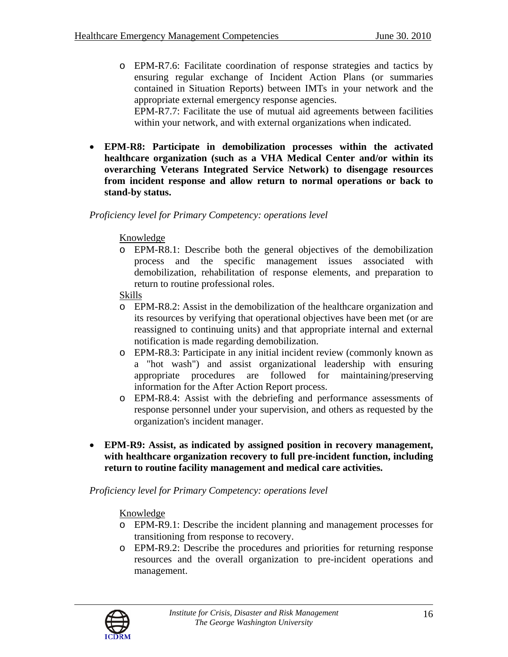- o EPM-R7.6: Facilitate coordination of response strategies and tactics by ensuring regular exchange of Incident Action Plans (or summaries contained in Situation Reports) between IMTs in your network and the appropriate external emergency response agencies. EPM-R7.7: Facilitate the use of mutual aid agreements between facilities within your network, and with external organizations when indicated.
- **EPM-R8: Participate in demobilization processes within the activated healthcare organization (such as a VHA Medical Center and/or within its overarching Veterans Integrated Service Network) to disengage resources from incident response and allow return to normal operations or back to stand-by status.**

#### Knowledge

o EPM-R8.1: Describe both the general objectives of the demobilization process and the specific management issues associated with demobilization, rehabilitation of response elements, and preparation to return to routine professional roles.

#### Skills

- o EPM-R8.2: Assist in the demobilization of the healthcare organization and its resources by verifying that operational objectives have been met (or are reassigned to continuing units) and that appropriate internal and external notification is made regarding demobilization.
- o EPM-R8.3: Participate in any initial incident review (commonly known as a "hot wash") and assist organizational leadership with ensuring appropriate procedures are followed for maintaining/preserving information for the After Action Report process.
- o EPM-R8.4: Assist with the debriefing and performance assessments of response personnel under your supervision, and others as requested by the organization's incident manager.
- **EPM-R9: Assist, as indicated by assigned position in recovery management, with healthcare organization recovery to full pre-incident function, including return to routine facility management and medical care activities.**

#### *Proficiency level for Primary Competency: operations level*

- o EPM-R9.1: Describe the incident planning and management processes for transitioning from response to recovery.
- o EPM-R9.2: Describe the procedures and priorities for returning response resources and the overall organization to pre-incident operations and management.

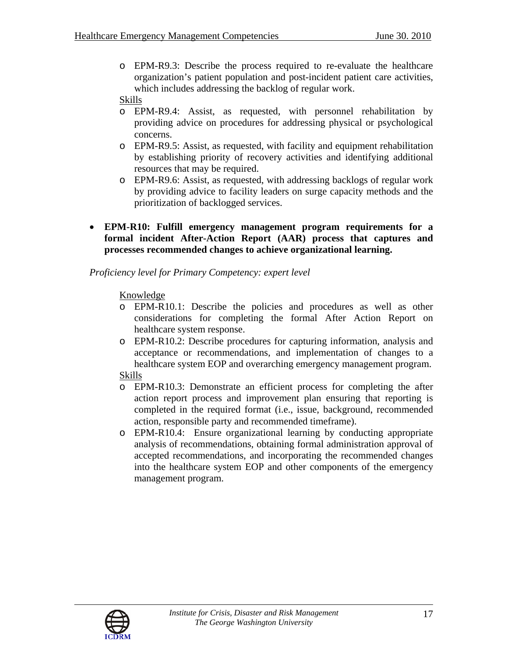o EPM-R9.3: Describe the process required to re-evaluate the healthcare organization's patient population and post-incident patient care activities, which includes addressing the backlog of regular work.

### Skills

- o EPM-R9.4: Assist, as requested, with personnel rehabilitation by providing advice on procedures for addressing physical or psychological concerns.
- o EPM-R9.5: Assist, as requested, with facility and equipment rehabilitation by establishing priority of recovery activities and identifying additional resources that may be required.
- o EPM-R9.6: Assist, as requested, with addressing backlogs of regular work by providing advice to facility leaders on surge capacity methods and the prioritization of backlogged services.
- **EPM-R10: Fulfill emergency management program requirements for a formal incident After-Action Report (AAR) process that captures and processes recommended changes to achieve organizational learning.**

### *Proficiency level for Primary Competency: expert level*

### Knowledge

- o EPM-R10.1: Describe the policies and procedures as well as other considerations for completing the formal After Action Report on healthcare system response.
- o EPM-R10.2: Describe procedures for capturing information, analysis and acceptance or recommendations, and implementation of changes to a healthcare system EOP and overarching emergency management program.

- o EPM-R10.3: Demonstrate an efficient process for completing the after action report process and improvement plan ensuring that reporting is completed in the required format (i.e., issue, background, recommended action, responsible party and recommended timeframe).
- o EPM-R10.4: Ensure organizational learning by conducting appropriate analysis of recommendations, obtaining formal administration approval of accepted recommendations, and incorporating the recommended changes into the healthcare system EOP and other components of the emergency management program.

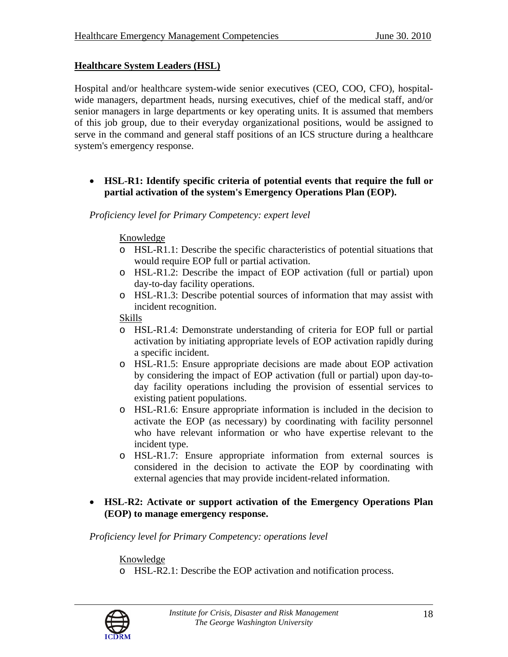### **Healthcare System Leaders (HSL)**

Hospital and/or healthcare system-wide senior executives (CEO, COO, CFO), hospitalwide managers, department heads, nursing executives, chief of the medical staff, and/or senior managers in large departments or key operating units. It is assumed that members of this job group, due to their everyday organizational positions, would be assigned to serve in the command and general staff positions of an ICS structure during a healthcare system's emergency response.

### • **HSL-R1: Identify specific criteria of potential events that require the full or partial activation of the system's Emergency Operations Plan (EOP).**

*Proficiency level for Primary Competency: expert level* 

#### Knowledge

- o HSL-R1.1: Describe the specific characteristics of potential situations that would require EOP full or partial activation.
- o HSL-R1.2: Describe the impact of EOP activation (full or partial) upon day-to-day facility operations.
- o HSL-R1.3: Describe potential sources of information that may assist with incident recognition.

#### Skills

- o HSL-R1.4: Demonstrate understanding of criteria for EOP full or partial activation by initiating appropriate levels of EOP activation rapidly during a specific incident.
- o HSL-R1.5: Ensure appropriate decisions are made about EOP activation by considering the impact of EOP activation (full or partial) upon day-today facility operations including the provision of essential services to existing patient populations.
- o HSL-R1.6: Ensure appropriate information is included in the decision to activate the EOP (as necessary) by coordinating with facility personnel who have relevant information or who have expertise relevant to the incident type.
- o HSL-R1.7: Ensure appropriate information from external sources is considered in the decision to activate the EOP by coordinating with external agencies that may provide incident-related information.

### • **HSL-R2: Activate or support activation of the Emergency Operations Plan (EOP) to manage emergency response.**

*Proficiency level for Primary Competency: operations level* 

Knowledge o HSL-R2.1: Describe the EOP activation and notification process.

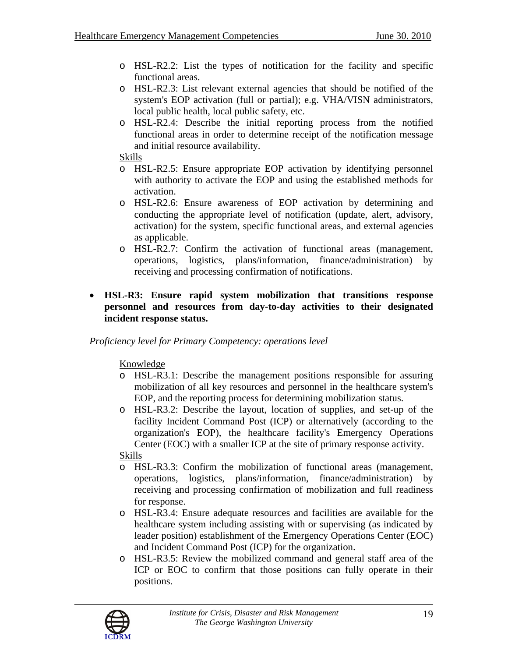- o HSL-R2.2: List the types of notification for the facility and specific functional areas.
- o HSL-R2.3: List relevant external agencies that should be notified of the system's EOP activation (full or partial); e.g. VHA/VISN administrators, local public health, local public safety, etc.
- o HSL-R2.4: Describe the initial reporting process from the notified functional areas in order to determine receipt of the notification message and initial resource availability.

Skills

- o HSL-R2.5: Ensure appropriate EOP activation by identifying personnel with authority to activate the EOP and using the established methods for activation.
- o HSL-R2.6: Ensure awareness of EOP activation by determining and conducting the appropriate level of notification (update, alert, advisory, activation) for the system, specific functional areas, and external agencies as applicable.
- o HSL-R2.7: Confirm the activation of functional areas (management, operations, logistics, plans/information, finance/administration) by receiving and processing confirmation of notifications.
- **HSL-R3: Ensure rapid system mobilization that transitions response personnel and resources from day-to-day activities to their designated incident response status.**

*Proficiency level for Primary Competency: operations level* 

Knowledge

- o HSL-R3.1: Describe the management positions responsible for assuring mobilization of all key resources and personnel in the healthcare system's EOP, and the reporting process for determining mobilization status.
- o HSL-R3.2: Describe the layout, location of supplies, and set-up of the facility Incident Command Post (ICP) or alternatively (according to the organization's EOP), the healthcare facility's Emergency Operations Center (EOC) with a smaller ICP at the site of primary response activity.

- o HSL-R3.3: Confirm the mobilization of functional areas (management, operations, logistics, plans/information, finance/administration) by receiving and processing confirmation of mobilization and full readiness for response.
- o HSL-R3.4: Ensure adequate resources and facilities are available for the healthcare system including assisting with or supervising (as indicated by leader position) establishment of the Emergency Operations Center (EOC) and Incident Command Post (ICP) for the organization.
- o HSL-R3.5: Review the mobilized command and general staff area of the ICP or EOC to confirm that those positions can fully operate in their positions.

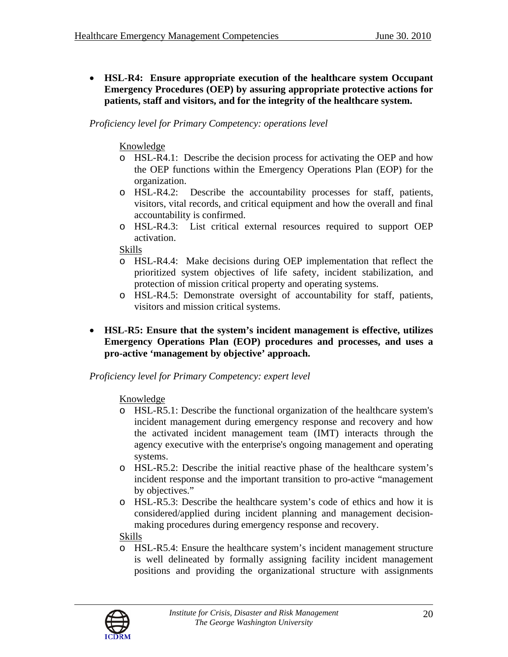• **HSL-R4: Ensure appropriate execution of the healthcare system Occupant Emergency Procedures (OEP) by assuring appropriate protective actions for patients, staff and visitors, and for the integrity of the healthcare system.** 

*Proficiency level for Primary Competency: operations level* 

### Knowledge

- o HSL-R4.1: Describe the decision process for activating the OEP and how the OEP functions within the Emergency Operations Plan (EOP) for the organization.
- o HSL-R4.2: Describe the accountability processes for staff, patients, visitors, vital records, and critical equipment and how the overall and final accountability is confirmed.
- o HSL-R4.3: List critical external resources required to support OEP activation.

### Skills

- o HSL-R4.4: Make decisions during OEP implementation that reflect the prioritized system objectives of life safety, incident stabilization, and protection of mission critical property and operating systems.
- o HSL-R4.5: Demonstrate oversight of accountability for staff, patients, visitors and mission critical systems.
- **HSL-R5: Ensure that the system's incident management is effective, utilizes Emergency Operations Plan (EOP) procedures and processes, and uses a pro-active 'management by objective' approach.**

# *Proficiency level for Primary Competency: expert level*

# Knowledge

- o HSL-R5.1: Describe the functional organization of the healthcare system's incident management during emergency response and recovery and how the activated incident management team (IMT) interacts through the agency executive with the enterprise's ongoing management and operating systems.
- o HSL-R5.2: Describe the initial reactive phase of the healthcare system's incident response and the important transition to pro-active "management by objectives."
- o HSL-R5.3: Describe the healthcare system's code of ethics and how it is considered/applied during incident planning and management decisionmaking procedures during emergency response and recovery.

# Skills

o HSL-R5.4: Ensure the healthcare system's incident management structure is well delineated by formally assigning facility incident management positions and providing the organizational structure with assignments

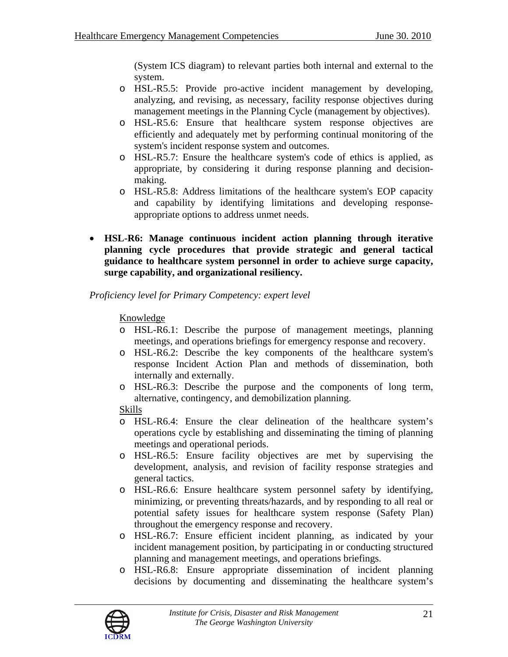(System ICS diagram) to relevant parties both internal and external to the system.

- o HSL-R5.5: Provide pro-active incident management by developing, analyzing, and revising, as necessary, facility response objectives during management meetings in the Planning Cycle (management by objectives).
- o HSL-R5.6: Ensure that healthcare system response objectives are efficiently and adequately met by performing continual monitoring of the system's incident response system and outcomes.
- o HSL-R5.7: Ensure the healthcare system's code of ethics is applied, as appropriate, by considering it during response planning and decisionmaking.
- o HSL-R5.8: Address limitations of the healthcare system's EOP capacity and capability by identifying limitations and developing responseappropriate options to address unmet needs.
- **HSL-R6: Manage continuous incident action planning through iterative planning cycle procedures that provide strategic and general tactical guidance to healthcare system personnel in order to achieve surge capacity, surge capability, and organizational resiliency.**

#### *Proficiency level for Primary Competency: expert level*

### Knowledge

- o HSL-R6.1: Describe the purpose of management meetings, planning meetings, and operations briefings for emergency response and recovery.
- o HSL-R6.2: Describe the key components of the healthcare system's response Incident Action Plan and methods of dissemination, both internally and externally.
- o HSL-R6.3: Describe the purpose and the components of long term, alternative, contingency, and demobilization planning.

- o HSL-R6.4: Ensure the clear delineation of the healthcare system's operations cycle by establishing and disseminating the timing of planning meetings and operational periods.
- o HSL-R6.5: Ensure facility objectives are met by supervising the development, analysis, and revision of facility response strategies and general tactics.
- o HSL-R6.6: Ensure healthcare system personnel safety by identifying, minimizing, or preventing threats/hazards, and by responding to all real or potential safety issues for healthcare system response (Safety Plan) throughout the emergency response and recovery.
- o HSL-R6.7: Ensure efficient incident planning, as indicated by your incident management position, by participating in or conducting structured planning and management meetings, and operations briefings.
- o HSL-R6.8: Ensure appropriate dissemination of incident planning decisions by documenting and disseminating the healthcare system's

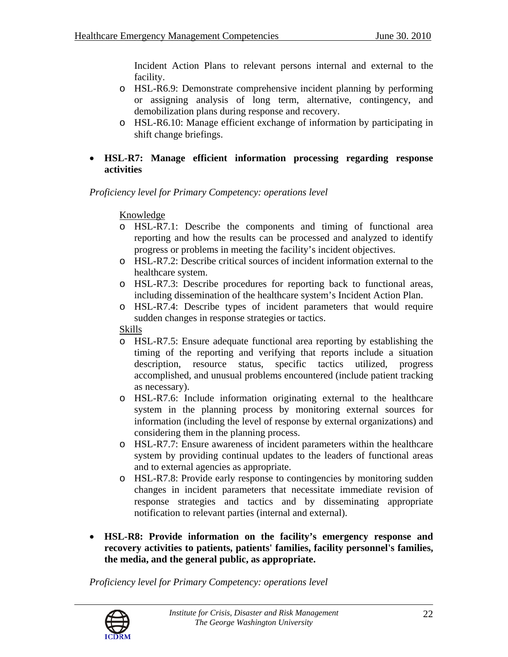Incident Action Plans to relevant persons internal and external to the facility.

- o HSL-R6.9: Demonstrate comprehensive incident planning by performing or assigning analysis of long term, alternative, contingency, and demobilization plans during response and recovery.
- o HSL-R6.10: Manage efficient exchange of information by participating in shift change briefings.

### • **HSL-R7: Manage efficient information processing regarding response activities**

*Proficiency level for Primary Competency: operations level* 

#### Knowledge

- o HSL-R7.1: Describe the components and timing of functional area reporting and how the results can be processed and analyzed to identify progress or problems in meeting the facility's incident objectives.
- o HSL-R7.2: Describe critical sources of incident information external to the healthcare system.
- o HSL-R7.3: Describe procedures for reporting back to functional areas, including dissemination of the healthcare system's Incident Action Plan.
- o HSL-R7.4: Describe types of incident parameters that would require sudden changes in response strategies or tactics.

Skills

- o HSL-R7.5: Ensure adequate functional area reporting by establishing the timing of the reporting and verifying that reports include a situation description, resource status, specific tactics utilized, progress accomplished, and unusual problems encountered (include patient tracking as necessary).
- o HSL-R7.6: Include information originating external to the healthcare system in the planning process by monitoring external sources for information (including the level of response by external organizations) and considering them in the planning process.
- o HSL-R7.7: Ensure awareness of incident parameters within the healthcare system by providing continual updates to the leaders of functional areas and to external agencies as appropriate.
- o HSL-R7.8: Provide early response to contingencies by monitoring sudden changes in incident parameters that necessitate immediate revision of response strategies and tactics and by disseminating appropriate notification to relevant parties (internal and external).
- **HSL-R8: Provide information on the facility's emergency response and recovery activities to patients, patients' families, facility personnel's families, the media, and the general public, as appropriate.**

*Proficiency level for Primary Competency: operations level* 

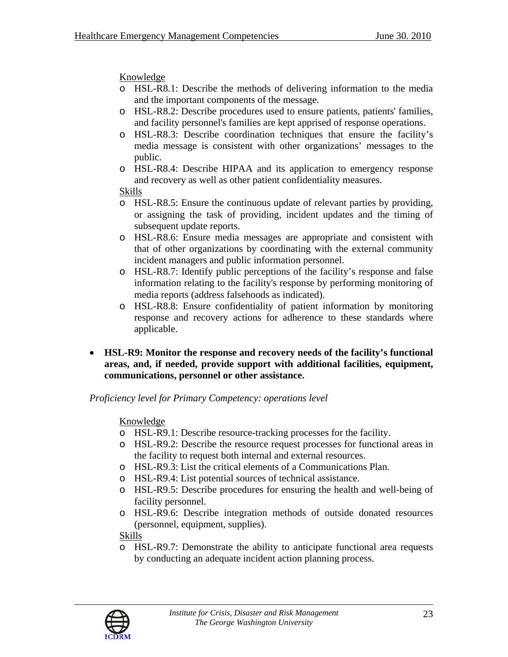# Knowledge

- o HSL-R8.1: Describe the methods of delivering information to the media and the important components of the message.
- o HSL-R8.2: Describe procedures used to ensure patients, patients' families, and facility personnel's families are kept apprised of response operations.
- o HSL-R8.3: Describe coordination techniques that ensure the facility's media message is consistent with other organizations' messages to the public.
- o HSL-R8.4: Describe HIPAA and its application to emergency response and recovery as well as other patient confidentiality measures.

# Skills

- o HSL-R8.5: Ensure the continuous update of relevant parties by providing, or assigning the task of providing, incident updates and the timing of subsequent update reports.
- o HSL-R8.6: Ensure media messages are appropriate and consistent with that of other organizations by coordinating with the external community incident managers and public information personnel.
- o HSL-R8.7: Identify public perceptions of the facility's response and false information relating to the facility's response by performing monitoring of media reports (address falsehoods as indicated).
- o HSL-R8.8: Ensure confidentiality of patient information by monitoring response and recovery actions for adherence to these standards where applicable.
- **HSL-R9: Monitor the response and recovery needs of the facility's functional areas, and, if needed, provide support with additional facilities, equipment, communications, personnel or other assistance.**

*Proficiency level for Primary Competency: operations level* 

# Knowledge

- o HSL-R9.1: Describe resource-tracking processes for the facility.
- o HSL-R9.2: Describe the resource request processes for functional areas in the facility to request both internal and external resources.
- o HSL-R9.3: List the critical elements of a Communications Plan.
- o HSL-R9.4: List potential sources of technical assistance.
- o HSL-R9.5: Describe procedures for ensuring the health and well-being of facility personnel.
- o HSL-R9.6: Describe integration methods of outside donated resources (personnel, equipment, supplies).

# Skills

o HSL-R9.7: Demonstrate the ability to anticipate functional area requests by conducting an adequate incident action planning process.

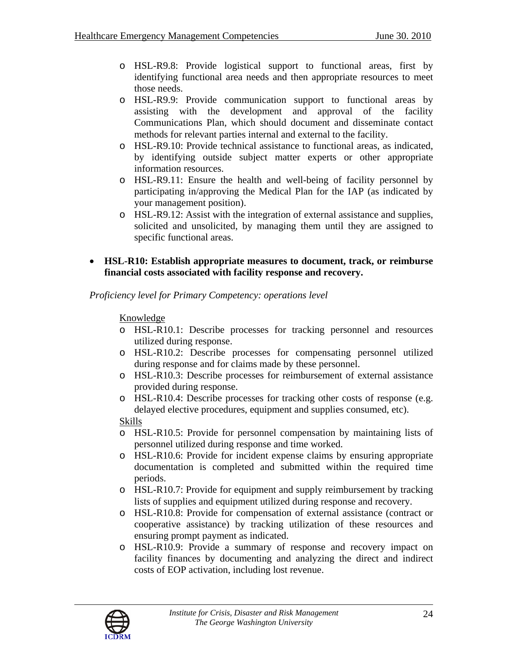- o HSL-R9.8: Provide logistical support to functional areas, first by identifying functional area needs and then appropriate resources to meet those needs.
- o HSL-R9.9: Provide communication support to functional areas by assisting with the development and approval of the facility Communications Plan, which should document and disseminate contact methods for relevant parties internal and external to the facility.
- o HSL-R9.10: Provide technical assistance to functional areas, as indicated, by identifying outside subject matter experts or other appropriate information resources.
- o HSL-R9.11: Ensure the health and well-being of facility personnel by participating in/approving the Medical Plan for the IAP (as indicated by your management position).
- o HSL-R9.12: Assist with the integration of external assistance and supplies, solicited and unsolicited, by managing them until they are assigned to specific functional areas.
- **HSL-R10: Establish appropriate measures to document, track, or reimburse financial costs associated with facility response and recovery.**

# Knowledge

- o HSL-R10.1: Describe processes for tracking personnel and resources utilized during response.
- o HSL-R10.2: Describe processes for compensating personnel utilized during response and for claims made by these personnel.
- o HSL-R10.3: Describe processes for reimbursement of external assistance provided during response.
- o HSL-R10.4: Describe processes for tracking other costs of response (e.g. delayed elective procedures, equipment and supplies consumed, etc).

- o HSL-R10.5: Provide for personnel compensation by maintaining lists of personnel utilized during response and time worked.
- o HSL-R10.6: Provide for incident expense claims by ensuring appropriate documentation is completed and submitted within the required time periods.
- o HSL-R10.7: Provide for equipment and supply reimbursement by tracking lists of supplies and equipment utilized during response and recovery.
- o HSL-R10.8: Provide for compensation of external assistance (contract or cooperative assistance) by tracking utilization of these resources and ensuring prompt payment as indicated.
- o HSL-R10.9: Provide a summary of response and recovery impact on facility finances by documenting and analyzing the direct and indirect costs of EOP activation, including lost revenue.

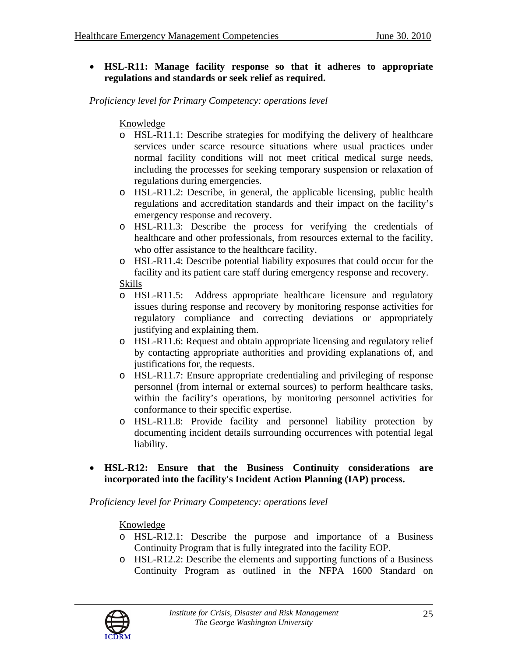• **HSL-R11: Manage facility response so that it adheres to appropriate regulations and standards or seek relief as required.** 

*Proficiency level for Primary Competency: operations level* 

### Knowledge

- o HSL-R11.1: Describe strategies for modifying the delivery of healthcare services under scarce resource situations where usual practices under normal facility conditions will not meet critical medical surge needs, including the processes for seeking temporary suspension or relaxation of regulations during emergencies.
- o HSL-R11.2: Describe, in general, the applicable licensing, public health regulations and accreditation standards and their impact on the facility's emergency response and recovery.
- o HSL-R11.3: Describe the process for verifying the credentials of healthcare and other professionals, from resources external to the facility, who offer assistance to the healthcare facility.
- o HSL-R11.4: Describe potential liability exposures that could occur for the facility and its patient care staff during emergency response and recovery. Skills
- o HSL-R11.5: Address appropriate healthcare licensure and regulatory issues during response and recovery by monitoring response activities for regulatory compliance and correcting deviations or appropriately justifying and explaining them.
- o HSL-R11.6: Request and obtain appropriate licensing and regulatory relief by contacting appropriate authorities and providing explanations of, and justifications for, the requests.
- o HSL-R11.7: Ensure appropriate credentialing and privileging of response personnel (from internal or external sources) to perform healthcare tasks, within the facility's operations, by monitoring personnel activities for conformance to their specific expertise.
- o HSL-R11.8: Provide facility and personnel liability protection by documenting incident details surrounding occurrences with potential legal liability.
- **HSL-R12: Ensure that the Business Continuity considerations are incorporated into the facility's Incident Action Planning (IAP) process.**

*Proficiency level for Primary Competency: operations level* 

- o HSL-R12.1: Describe the purpose and importance of a Business Continuity Program that is fully integrated into the facility EOP.
- o HSL-R12.2: Describe the elements and supporting functions of a Business Continuity Program as outlined in the NFPA 1600 Standard on

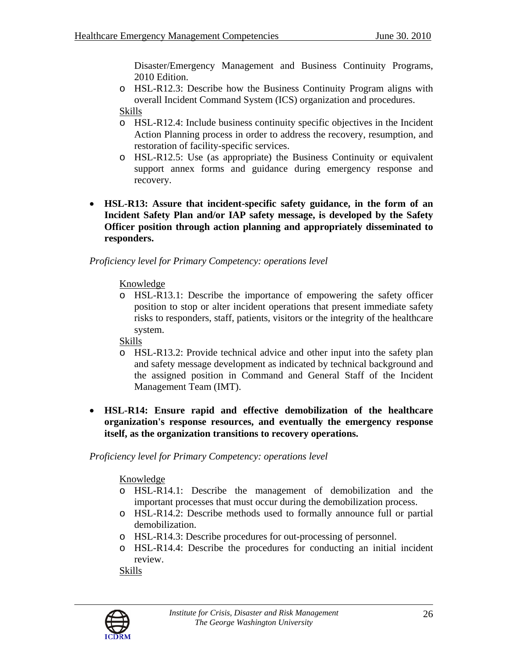Disaster/Emergency Management and Business Continuity Programs, 2010 Edition.

- o HSL-R12.3: Describe how the Business Continuity Program aligns with overall Incident Command System (ICS) organization and procedures. Skills
- o HSL-R12.4: Include business continuity specific objectives in the Incident Action Planning process in order to address the recovery, resumption, and restoration of facility-specific services.
- o HSL-R12.5: Use (as appropriate) the Business Continuity or equivalent support annex forms and guidance during emergency response and recovery.
- **HSL-R13: Assure that incident-specific safety guidance, in the form of an Incident Safety Plan and/or IAP safety message, is developed by the Safety Officer position through action planning and appropriately disseminated to responders.**

### *Proficiency level for Primary Competency: operations level*

Knowledge

o HSL-R13.1: Describe the importance of empowering the safety officer position to stop or alter incident operations that present immediate safety risks to responders, staff, patients, visitors or the integrity of the healthcare system.

Skills

- o HSL-R13.2: Provide technical advice and other input into the safety plan and safety message development as indicated by technical background and the assigned position in Command and General Staff of the Incident Management Team (IMT).
- **HSL-R14: Ensure rapid and effective demobilization of the healthcare organization's response resources, and eventually the emergency response itself, as the organization transitions to recovery operations.**

*Proficiency level for Primary Competency: operations level* 

Knowledge

- o HSL-R14.1: Describe the management of demobilization and the important processes that must occur during the demobilization process.
- o HSL-R14.2: Describe methods used to formally announce full or partial demobilization.
- o HSL-R14.3: Describe procedures for out-processing of personnel.
- o HSL-R14.4: Describe the procedures for conducting an initial incident review.

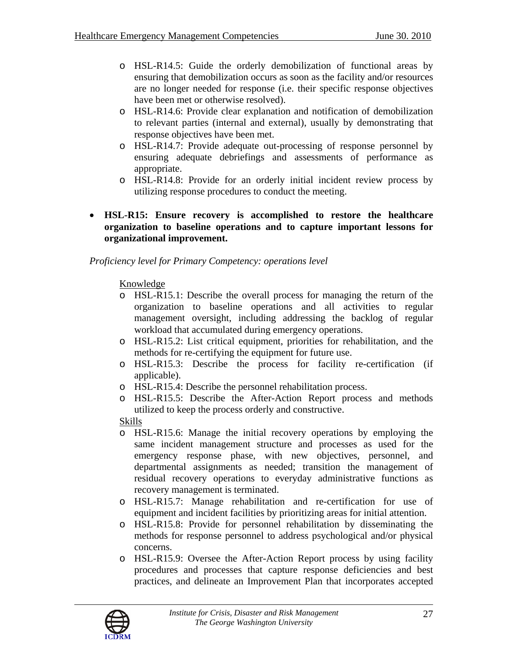- o HSL-R14.5: Guide the orderly demobilization of functional areas by ensuring that demobilization occurs as soon as the facility and/or resources are no longer needed for response (i.e. their specific response objectives have been met or otherwise resolved).
- o HSL-R14.6: Provide clear explanation and notification of demobilization to relevant parties (internal and external), usually by demonstrating that response objectives have been met.
- o HSL-R14.7: Provide adequate out-processing of response personnel by ensuring adequate debriefings and assessments of performance as appropriate.
- o HSL-R14.8: Provide for an orderly initial incident review process by utilizing response procedures to conduct the meeting.
- **HSL-R15: Ensure recovery is accomplished to restore the healthcare organization to baseline operations and to capture important lessons for organizational improvement.**

Knowledge

- o HSL-R15.1: Describe the overall process for managing the return of the organization to baseline operations and all activities to regular management oversight, including addressing the backlog of regular workload that accumulated during emergency operations.
- o HSL-R15.2: List critical equipment, priorities for rehabilitation, and the methods for re-certifying the equipment for future use.
- o HSL-R15.3: Describe the process for facility re-certification (if applicable).
- o HSL-R15.4: Describe the personnel rehabilitation process.
- o HSL-R15.5: Describe the After-Action Report process and methods utilized to keep the process orderly and constructive.

- o HSL-R15.6: Manage the initial recovery operations by employing the same incident management structure and processes as used for the emergency response phase, with new objectives, personnel, and departmental assignments as needed; transition the management of residual recovery operations to everyday administrative functions as recovery management is terminated.
- o HSL-R15.7: Manage rehabilitation and re-certification for use of equipment and incident facilities by prioritizing areas for initial attention.
- o HSL-R15.8: Provide for personnel rehabilitation by disseminating the methods for response personnel to address psychological and/or physical concerns.
- o HSL-R15.9: Oversee the After-Action Report process by using facility procedures and processes that capture response deficiencies and best practices, and delineate an Improvement Plan that incorporates accepted

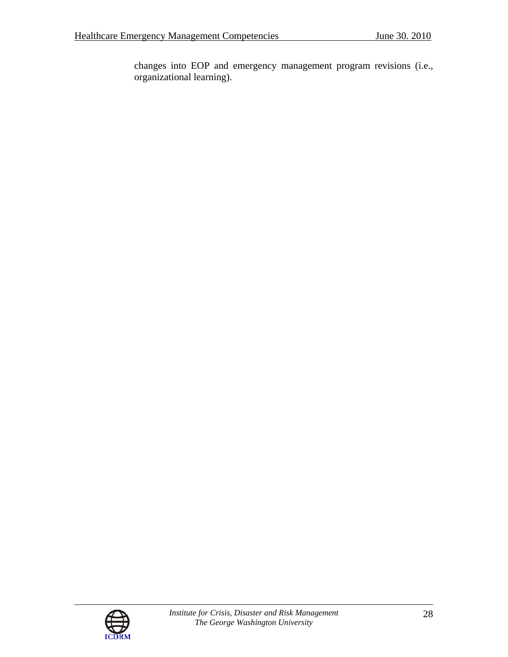changes into EOP and emergency management program revisions (i.e., organizational learning).

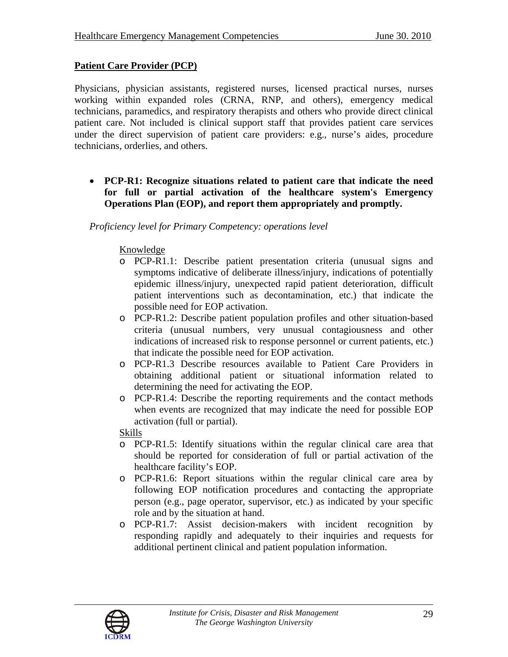# **Patient Care Provider (PCP)**

Physicians, physician assistants, registered nurses, licensed practical nurses, nurses working within expanded roles (CRNA, RNP, and others), emergency medical technicians, paramedics, and respiratory therapists and others who provide direct clinical patient care. Not included is clinical support staff that provides patient care services under the direct supervision of patient care providers: e.g., nurse's aides, procedure technicians, orderlies, and others.

• **PCP-R1: Recognize situations related to patient care that indicate the need for full or partial activation of the healthcare system's Emergency Operations Plan (EOP), and report them appropriately and promptly.** 

*Proficiency level for Primary Competency: operations level* 

### Knowledge

- o PCP-R1.1: Describe patient presentation criteria (unusual signs and symptoms indicative of deliberate illness/injury, indications of potentially epidemic illness/injury, unexpected rapid patient deterioration, difficult patient interventions such as decontamination, etc.) that indicate the possible need for EOP activation.
- o PCP-R1.2: Describe patient population profiles and other situation-based criteria (unusual numbers, very unusual contagiousness and other indications of increased risk to response personnel or current patients, etc.) that indicate the possible need for EOP activation.
- o PCP-R1.3 Describe resources available to Patient Care Providers in obtaining additional patient or situational information related to determining the need for activating the EOP.
- o PCP-R1.4: Describe the reporting requirements and the contact methods when events are recognized that may indicate the need for possible EOP activation (full or partial).

- o PCP-R1.5: Identify situations within the regular clinical care area that should be reported for consideration of full or partial activation of the healthcare facility's EOP.
- o PCP-R1.6: Report situations within the regular clinical care area by following EOP notification procedures and contacting the appropriate person (e.g., page operator, supervisor, etc.) as indicated by your specific role and by the situation at hand.
- o PCP-R1.7: Assist decision-makers with incident recognition by responding rapidly and adequately to their inquiries and requests for additional pertinent clinical and patient population information.

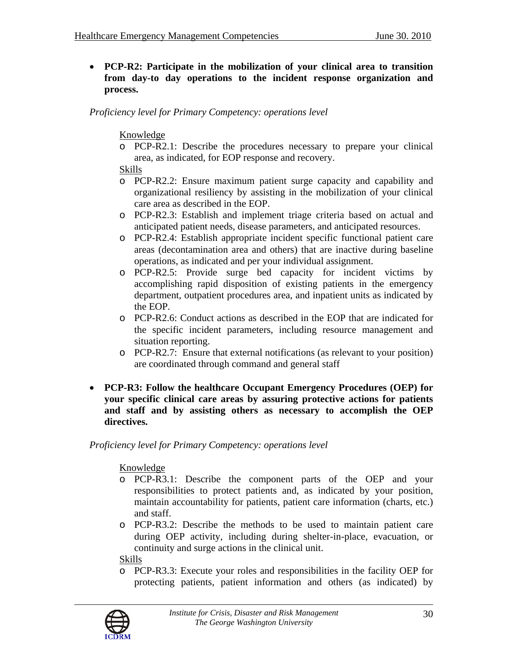• **PCP-R2: Participate in the mobilization of your clinical area to transition from day-to day operations to the incident response organization and process.** 

*Proficiency level for Primary Competency: operations level* 

Knowledge

o PCP-R2.1: Describe the procedures necessary to prepare your clinical area, as indicated, for EOP response and recovery.

### Skills

- o PCP-R2.2: Ensure maximum patient surge capacity and capability and organizational resiliency by assisting in the mobilization of your clinical care area as described in the EOP.
- o PCP-R2.3: Establish and implement triage criteria based on actual and anticipated patient needs, disease parameters, and anticipated resources.
- o PCP-R2.4: Establish appropriate incident specific functional patient care areas (decontamination area and others) that are inactive during baseline operations, as indicated and per your individual assignment.
- o PCP-R2.5: Provide surge bed capacity for incident victims by accomplishing rapid disposition of existing patients in the emergency department, outpatient procedures area, and inpatient units as indicated by the EOP.
- o PCP-R2.6: Conduct actions as described in the EOP that are indicated for the specific incident parameters, including resource management and situation reporting.
- o PCP-R2.7: Ensure that external notifications (as relevant to your position) are coordinated through command and general staff
- **PCP-R3: Follow the healthcare Occupant Emergency Procedures (OEP) for your specific clinical care areas by assuring protective actions for patients and staff and by assisting others as necessary to accomplish the OEP directives.**

*Proficiency level for Primary Competency: operations level* 

# Knowledge

- o PCP-R3.1: Describe the component parts of the OEP and your responsibilities to protect patients and, as indicated by your position, maintain accountability for patients, patient care information (charts, etc.) and staff.
- o PCP-R3.2: Describe the methods to be used to maintain patient care during OEP activity, including during shelter-in-place, evacuation, or continuity and surge actions in the clinical unit.

# Skills

o PCP-R3.3: Execute your roles and responsibilities in the facility OEP for protecting patients, patient information and others (as indicated) by

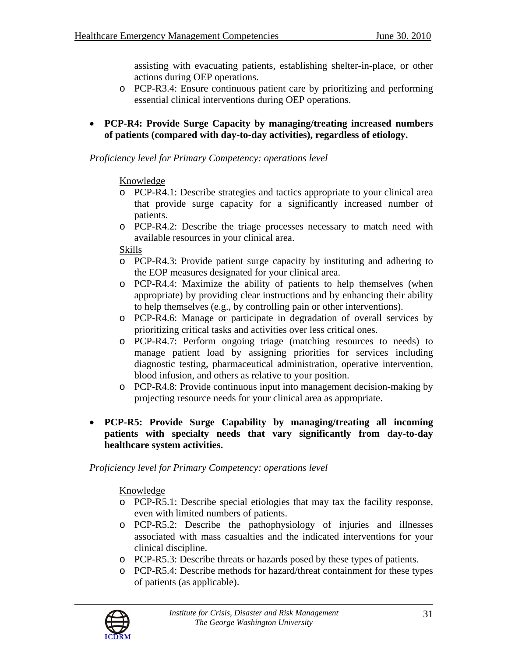assisting with evacuating patients, establishing shelter-in-place, or other actions during OEP operations.

- o PCP-R3.4: Ensure continuous patient care by prioritizing and performing essential clinical interventions during OEP operations.
- **PCP-R4: Provide Surge Capacity by managing/treating increased numbers of patients (compared with day-to-day activities), regardless of etiology.**

### *Proficiency level for Primary Competency: operations level*

### Knowledge

- o PCP-R4.1: Describe strategies and tactics appropriate to your clinical area that provide surge capacity for a significantly increased number of patients.
- o PCP-R4.2: Describe the triage processes necessary to match need with available resources in your clinical area.

#### Skills

- o PCP-R4.3: Provide patient surge capacity by instituting and adhering to the EOP measures designated for your clinical area.
- o PCP-R4.4: Maximize the ability of patients to help themselves (when appropriate) by providing clear instructions and by enhancing their ability to help themselves (e.g., by controlling pain or other interventions).
- o PCP-R4.6: Manage or participate in degradation of overall services by prioritizing critical tasks and activities over less critical ones.
- o PCP-R4.7: Perform ongoing triage (matching resources to needs) to manage patient load by assigning priorities for services including diagnostic testing, pharmaceutical administration, operative intervention, blood infusion, and others as relative to your position.
- o PCP-R4.8: Provide continuous input into management decision-making by projecting resource needs for your clinical area as appropriate.
- **PCP-R5: Provide Surge Capability by managing/treating all incoming patients with specialty needs that vary significantly from day-to-day healthcare system activities.**

*Proficiency level for Primary Competency: operations level* 

- o PCP-R5.1: Describe special etiologies that may tax the facility response, even with limited numbers of patients.
- o PCP-R5.2: Describe the pathophysiology of injuries and illnesses associated with mass casualties and the indicated interventions for your clinical discipline.
- o PCP-R5.3: Describe threats or hazards posed by these types of patients.
- o PCP-R5.4: Describe methods for hazard/threat containment for these types of patients (as applicable).

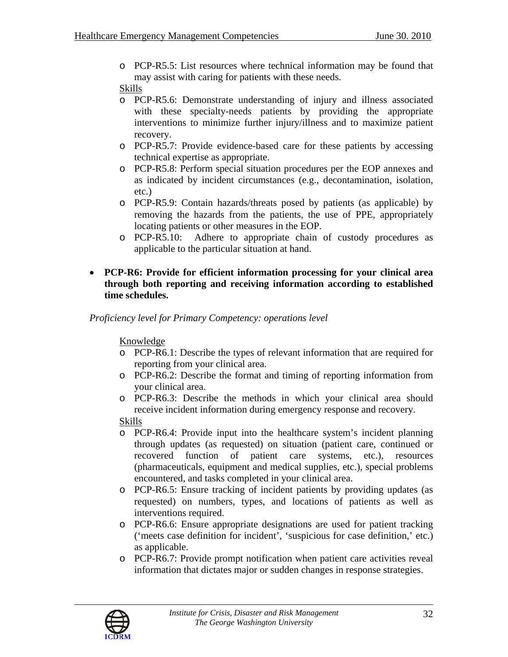o PCP-R5.5: List resources where technical information may be found that may assist with caring for patients with these needs.

### Skills

- o PCP-R5.6: Demonstrate understanding of injury and illness associated with these specialty-needs patients by providing the appropriate interventions to minimize further injury/illness and to maximize patient recovery.
- o PCP-R5.7: Provide evidence-based care for these patients by accessing technical expertise as appropriate.
- o PCP-R5.8: Perform special situation procedures per the EOP annexes and as indicated by incident circumstances (e.g., decontamination, isolation, etc.)
- o PCP-R5.9: Contain hazards/threats posed by patients (as applicable) by removing the hazards from the patients, the use of PPE, appropriately locating patients or other measures in the EOP.
- o PCP-R5.10: Adhere to appropriate chain of custody procedures as applicable to the particular situation at hand.
- **PCP-R6: Provide for efficient information processing for your clinical area through both reporting and receiving information according to established time schedules.**

*Proficiency level for Primary Competency: operations level* 

# Knowledge

- o PCP-R6.1: Describe the types of relevant information that are required for reporting from your clinical area.
- o PCP-R6.2: Describe the format and timing of reporting information from your clinical area.
- o PCP-R6.3: Describe the methods in which your clinical area should receive incident information during emergency response and recovery.

- o PCP-R6.4: Provide input into the healthcare system's incident planning through updates (as requested) on situation (patient care, continued or recovered function of patient care systems, etc.), resources (pharmaceuticals, equipment and medical supplies, etc.), special problems encountered, and tasks completed in your clinical area.
- o PCP-R6.5: Ensure tracking of incident patients by providing updates (as requested) on numbers, types, and locations of patients as well as interventions required.
- o PCP-R6.6: Ensure appropriate designations are used for patient tracking ('meets case definition for incident', 'suspicious for case definition,' etc.) as applicable.
- o PCP-R6.7: Provide prompt notification when patient care activities reveal information that dictates major or sudden changes in response strategies.

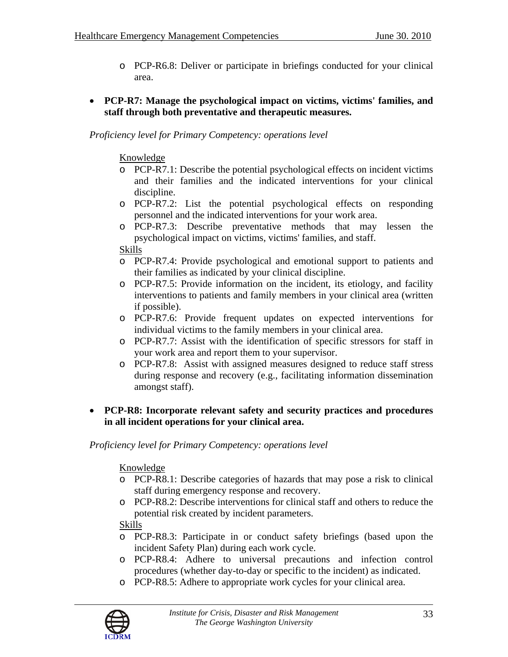- o PCP-R6.8: Deliver or participate in briefings conducted for your clinical area.
- **PCP-R7: Manage the psychological impact on victims, victims' families, and staff through both preventative and therapeutic measures.**

#### Knowledge

- o PCP-R7.1: Describe the potential psychological effects on incident victims and their families and the indicated interventions for your clinical discipline.
- o PCP-R7.2: List the potential psychological effects on responding personnel and the indicated interventions for your work area.
- o PCP-R7.3: Describe preventative methods that may lessen the psychological impact on victims, victims' families, and staff.

#### Skills

- o PCP-R7.4: Provide psychological and emotional support to patients and their families as indicated by your clinical discipline.
- o PCP-R7.5: Provide information on the incident, its etiology, and facility interventions to patients and family members in your clinical area (written if possible).
- o PCP-R7.6: Provide frequent updates on expected interventions for individual victims to the family members in your clinical area.
- o PCP-R7.7: Assist with the identification of specific stressors for staff in your work area and report them to your supervisor.
- o PCP-R7.8: Assist with assigned measures designed to reduce staff stress during response and recovery (e.g., facilitating information dissemination amongst staff).
- **PCP-R8: Incorporate relevant safety and security practices and procedures in all incident operations for your clinical area.**

*Proficiency level for Primary Competency: operations level* 

#### Knowledge

- o PCP-R8.1: Describe categories of hazards that may pose a risk to clinical staff during emergency response and recovery.
- o PCP-R8.2: Describe interventions for clinical staff and others to reduce the potential risk created by incident parameters.

- o PCP-R8.3: Participate in or conduct safety briefings (based upon the incident Safety Plan) during each work cycle.
- o PCP-R8.4: Adhere to universal precautions and infection control procedures (whether day-to-day or specific to the incident) as indicated.
- o PCP-R8.5: Adhere to appropriate work cycles for your clinical area.

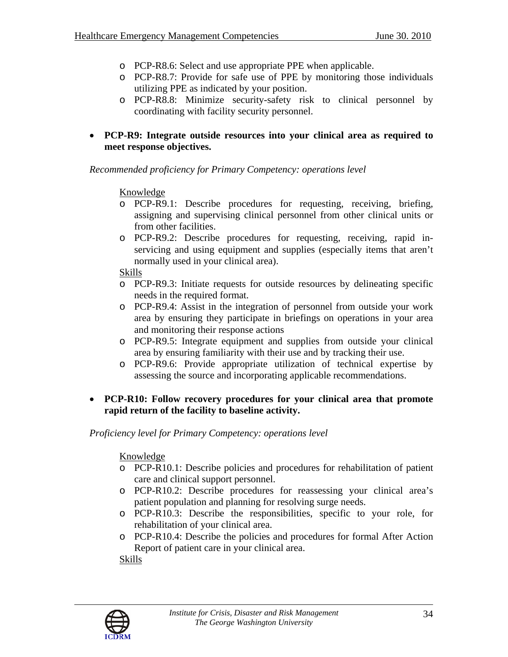- o PCP-R8.6: Select and use appropriate PPE when applicable.
- o PCP-R8.7: Provide for safe use of PPE by monitoring those individuals utilizing PPE as indicated by your position.
- o PCP-R8.8: Minimize security-safety risk to clinical personnel by coordinating with facility security personnel.
- **PCP-R9: Integrate outside resources into your clinical area as required to meet response objectives.**

*Recommended proficiency for Primary Competency: operations level* 

### Knowledge

- o PCP-R9.1: Describe procedures for requesting, receiving, briefing, assigning and supervising clinical personnel from other clinical units or from other facilities.
- o PCP-R9.2: Describe procedures for requesting, receiving, rapid inservicing and using equipment and supplies (especially items that aren't normally used in your clinical area).

# Skills

- o PCP-R9.3: Initiate requests for outside resources by delineating specific needs in the required format.
- o PCP-R9.4: Assist in the integration of personnel from outside your work area by ensuring they participate in briefings on operations in your area and monitoring their response actions
- o PCP-R9.5: Integrate equipment and supplies from outside your clinical area by ensuring familiarity with their use and by tracking their use.
- o PCP-R9.6: Provide appropriate utilization of technical expertise by assessing the source and incorporating applicable recommendations.

### • **PCP-R10: Follow recovery procedures for your clinical area that promote rapid return of the facility to baseline activity.**

*Proficiency level for Primary Competency: operations level* 

# Knowledge

- o PCP-R10.1: Describe policies and procedures for rehabilitation of patient care and clinical support personnel.
- o PCP-R10.2: Describe procedures for reassessing your clinical area's patient population and planning for resolving surge needs.
- o PCP-R10.3: Describe the responsibilities, specific to your role, for rehabilitation of your clinical area.
- o PCP-R10.4: Describe the policies and procedures for formal After Action Report of patient care in your clinical area.

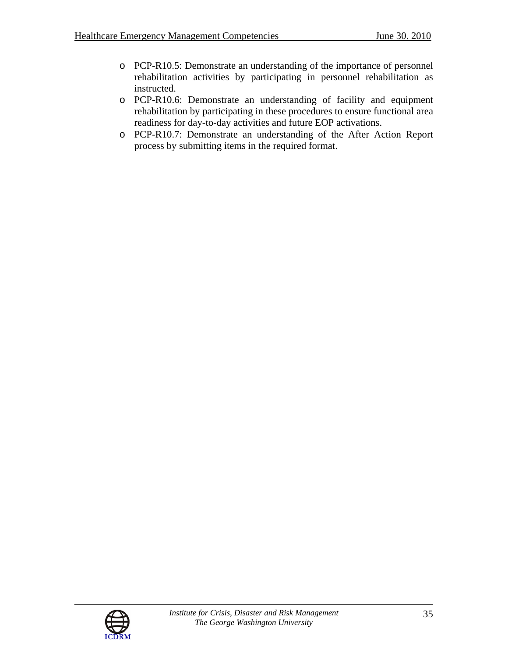- o PCP-R10.5: Demonstrate an understanding of the importance of personnel rehabilitation activities by participating in personnel rehabilitation as instructed.
- o PCP-R10.6: Demonstrate an understanding of facility and equipment rehabilitation by participating in these procedures to ensure functional area readiness for day-to-day activities and future EOP activations.
- o PCP-R10.7: Demonstrate an understanding of the After Action Report process by submitting items in the required format.

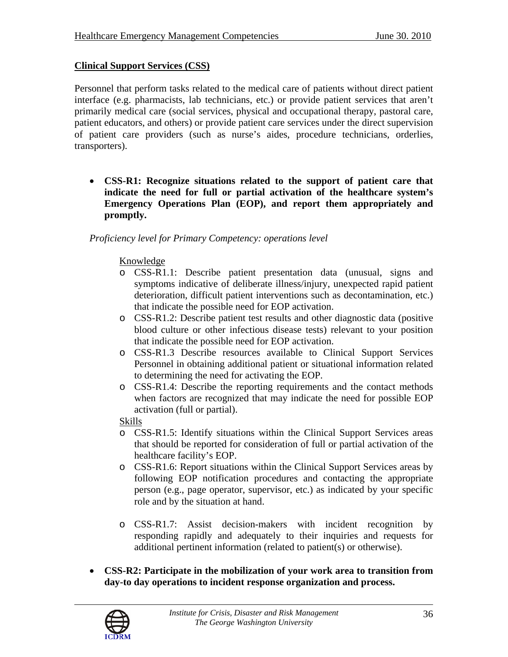# **Clinical Support Services (CSS)**

Personnel that perform tasks related to the medical care of patients without direct patient interface (e.g. pharmacists, lab technicians, etc.) or provide patient services that aren't primarily medical care (social services, physical and occupational therapy, pastoral care, patient educators, and others) or provide patient care services under the direct supervision of patient care providers (such as nurse's aides, procedure technicians, orderlies, transporters).

• **CSS-R1: Recognize situations related to the support of patient care that indicate the need for full or partial activation of the healthcare system's Emergency Operations Plan (EOP), and report them appropriately and promptly.** 

#### *Proficiency level for Primary Competency: operations level*

#### Knowledge

- o CSS-R1.1: Describe patient presentation data (unusual, signs and symptoms indicative of deliberate illness/injury, unexpected rapid patient deterioration, difficult patient interventions such as decontamination, etc.) that indicate the possible need for EOP activation.
- o CSS-R1.2: Describe patient test results and other diagnostic data (positive blood culture or other infectious disease tests) relevant to your position that indicate the possible need for EOP activation.
- o CSS-R1.3 Describe resources available to Clinical Support Services Personnel in obtaining additional patient or situational information related to determining the need for activating the EOP.
- o CSS-R1.4: Describe the reporting requirements and the contact methods when factors are recognized that may indicate the need for possible EOP activation (full or partial).

- o CSS-R1.5: Identify situations within the Clinical Support Services areas that should be reported for consideration of full or partial activation of the healthcare facility's EOP.
- o CSS-R1.6: Report situations within the Clinical Support Services areas by following EOP notification procedures and contacting the appropriate person (e.g., page operator, supervisor, etc.) as indicated by your specific role and by the situation at hand.
- o CSS-R1.7: Assist decision-makers with incident recognition by responding rapidly and adequately to their inquiries and requests for additional pertinent information (related to patient(s) or otherwise).
- **CSS-R2: Participate in the mobilization of your work area to transition from day-to day operations to incident response organization and process.**

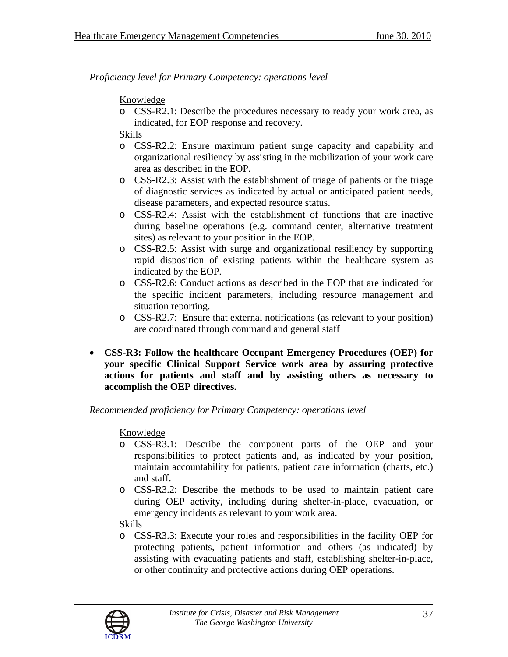### Knowledge

o CSS-R2.1: Describe the procedures necessary to ready your work area, as indicated, for EOP response and recovery.

### Skills

- o CSS-R2.2: Ensure maximum patient surge capacity and capability and organizational resiliency by assisting in the mobilization of your work care area as described in the EOP.
- o CSS-R2.3: Assist with the establishment of triage of patients or the triage of diagnostic services as indicated by actual or anticipated patient needs, disease parameters, and expected resource status.
- o CSS-R2.4: Assist with the establishment of functions that are inactive during baseline operations (e.g. command center, alternative treatment sites) as relevant to your position in the EOP.
- o CSS-R2.5: Assist with surge and organizational resiliency by supporting rapid disposition of existing patients within the healthcare system as indicated by the EOP.
- o CSS-R2.6: Conduct actions as described in the EOP that are indicated for the specific incident parameters, including resource management and situation reporting.
- o CSS-R2.7: Ensure that external notifications (as relevant to your position) are coordinated through command and general staff
- **CSS-R3: Follow the healthcare Occupant Emergency Procedures (OEP) for your specific Clinical Support Service work area by assuring protective actions for patients and staff and by assisting others as necessary to accomplish the OEP directives.**

#### *Recommended proficiency for Primary Competency: operations level*

# Knowledge

- o CSS-R3.1: Describe the component parts of the OEP and your responsibilities to protect patients and, as indicated by your position, maintain accountability for patients, patient care information (charts, etc.) and staff.
- o CSS-R3.2: Describe the methods to be used to maintain patient care during OEP activity, including during shelter-in-place, evacuation, or emergency incidents as relevant to your work area.

#### Skills

o CSS-R3.3: Execute your roles and responsibilities in the facility OEP for protecting patients, patient information and others (as indicated) by assisting with evacuating patients and staff, establishing shelter-in-place, or other continuity and protective actions during OEP operations.

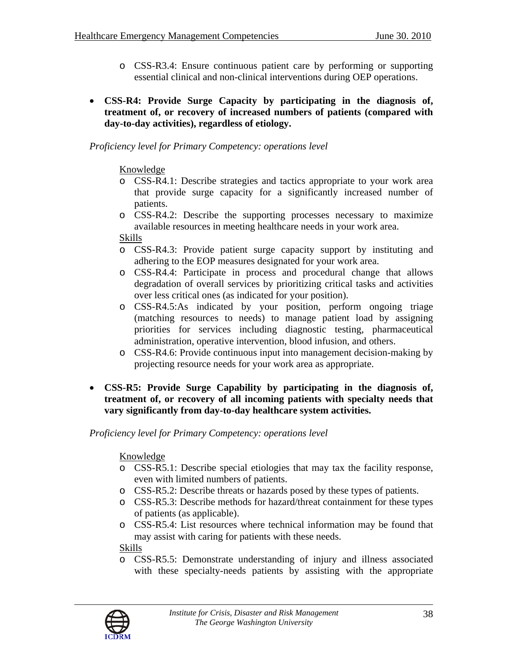- o CSS-R3.4: Ensure continuous patient care by performing or supporting essential clinical and non-clinical interventions during OEP operations.
- **CSS-R4: Provide Surge Capacity by participating in the diagnosis of, treatment of, or recovery of increased numbers of patients (compared with day-to-day activities), regardless of etiology.**

# Knowledge

- o CSS-R4.1: Describe strategies and tactics appropriate to your work area that provide surge capacity for a significantly increased number of patients.
- o CSS-R4.2: Describe the supporting processes necessary to maximize available resources in meeting healthcare needs in your work area.

#### Skills

- o CSS-R4.3: Provide patient surge capacity support by instituting and adhering to the EOP measures designated for your work area.
- o CSS-R4.4: Participate in process and procedural change that allows degradation of overall services by prioritizing critical tasks and activities over less critical ones (as indicated for your position).
- o CSS-R4.5:As indicated by your position, perform ongoing triage (matching resources to needs) to manage patient load by assigning priorities for services including diagnostic testing, pharmaceutical administration, operative intervention, blood infusion, and others.
- o CSS-R4.6: Provide continuous input into management decision-making by projecting resource needs for your work area as appropriate.
- **CSS-R5: Provide Surge Capability by participating in the diagnosis of, treatment of, or recovery of all incoming patients with specialty needs that vary significantly from day-to-day healthcare system activities.**

# *Proficiency level for Primary Competency: operations level*

# Knowledge

- o CSS-R5.1: Describe special etiologies that may tax the facility response, even with limited numbers of patients.
- o CSS-R5.2: Describe threats or hazards posed by these types of patients.
- o CSS-R5.3: Describe methods for hazard/threat containment for these types of patients (as applicable).
- o CSS-R5.4: List resources where technical information may be found that may assist with caring for patients with these needs.

# Skills

o CSS-R5.5: Demonstrate understanding of injury and illness associated with these specialty-needs patients by assisting with the appropriate

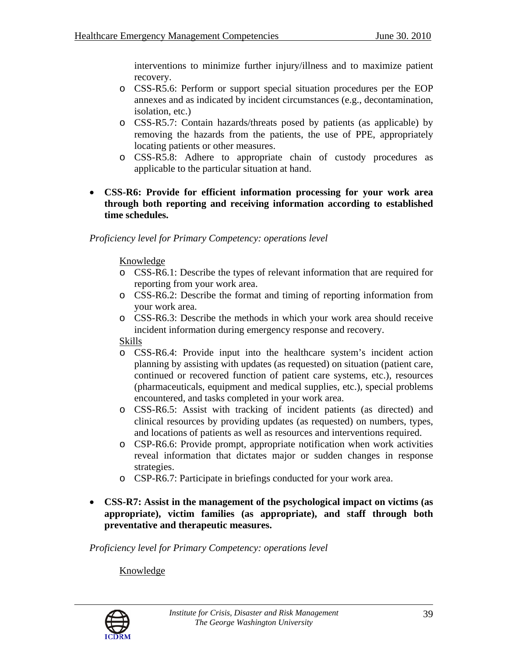interventions to minimize further injury/illness and to maximize patient recovery.

- o CSS-R5.6: Perform or support special situation procedures per the EOP annexes and as indicated by incident circumstances (e.g., decontamination, isolation, etc.)
- o CSS-R5.7: Contain hazards/threats posed by patients (as applicable) by removing the hazards from the patients, the use of PPE, appropriately locating patients or other measures.
- o CSS-R5.8: Adhere to appropriate chain of custody procedures as applicable to the particular situation at hand.
- **CSS-R6: Provide for efficient information processing for your work area through both reporting and receiving information according to established time schedules.**

#### *Proficiency level for Primary Competency: operations level*

### Knowledge

- o CSS-R6.1: Describe the types of relevant information that are required for reporting from your work area.
- o CSS-R6.2: Describe the format and timing of reporting information from your work area.
- o CSS-R6.3: Describe the methods in which your work area should receive incident information during emergency response and recovery.

#### Skills

- o CSS-R6.4: Provide input into the healthcare system's incident action planning by assisting with updates (as requested) on situation (patient care, continued or recovered function of patient care systems, etc.), resources (pharmaceuticals, equipment and medical supplies, etc.), special problems encountered, and tasks completed in your work area.
- o CSS-R6.5: Assist with tracking of incident patients (as directed) and clinical resources by providing updates (as requested) on numbers, types, and locations of patients as well as resources and interventions required.
- o CSP-R6.6: Provide prompt, appropriate notification when work activities reveal information that dictates major or sudden changes in response strategies.
- o CSP-R6.7: Participate in briefings conducted for your work area.
- **CSS-R7: Assist in the management of the psychological impact on victims (as appropriate), victim families (as appropriate), and staff through both preventative and therapeutic measures.**

*Proficiency level for Primary Competency: operations level* 

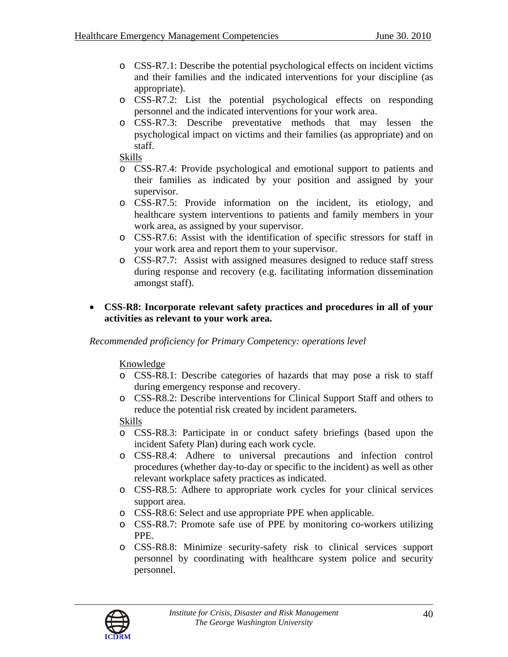- o CSS-R7.1: Describe the potential psychological effects on incident victims and their families and the indicated interventions for your discipline (as appropriate).
- o CSS-R7.2: List the potential psychological effects on responding personnel and the indicated interventions for your work area.
- o CSS-R7.3: Describe preventative methods that may lessen the psychological impact on victims and their families (as appropriate) and on staff.

Skills

- o CSS-R7.4: Provide psychological and emotional support to patients and their families as indicated by your position and assigned by your supervisor.
- o CSS-R7.5: Provide information on the incident, its etiology, and healthcare system interventions to patients and family members in your work area, as assigned by your supervisor.
- o CSS-R7.6: Assist with the identification of specific stressors for staff in your work area and report them to your supervisor.
- o CSS-R7.7: Assist with assigned measures designed to reduce staff stress during response and recovery (e.g. facilitating information dissemination amongst staff).
- **CSS-R8: Incorporate relevant safety practices and procedures in all of your activities as relevant to your work area.**

*Recommended proficiency for Primary Competency: operations level* 

#### Knowledge

- o CSS-R8.1: Describe categories of hazards that may pose a risk to staff during emergency response and recovery.
- o CSS-R8.2: Describe interventions for Clinical Support Staff and others to reduce the potential risk created by incident parameters.

- o CSS-R8.3: Participate in or conduct safety briefings (based upon the incident Safety Plan) during each work cycle.
- o CSS-R8.4: Adhere to universal precautions and infection control procedures (whether day-to-day or specific to the incident) as well as other relevant workplace safety practices as indicated.
- o CSS-R8.5: Adhere to appropriate work cycles for your clinical services support area.
- o CSS-R8.6: Select and use appropriate PPE when applicable.
- o CSS-R8.7: Promote safe use of PPE by monitoring co-workers utilizing PPE.
- o CSS-R8.8: Minimize security-safety risk to clinical services support personnel by coordinating with healthcare system police and security personnel.

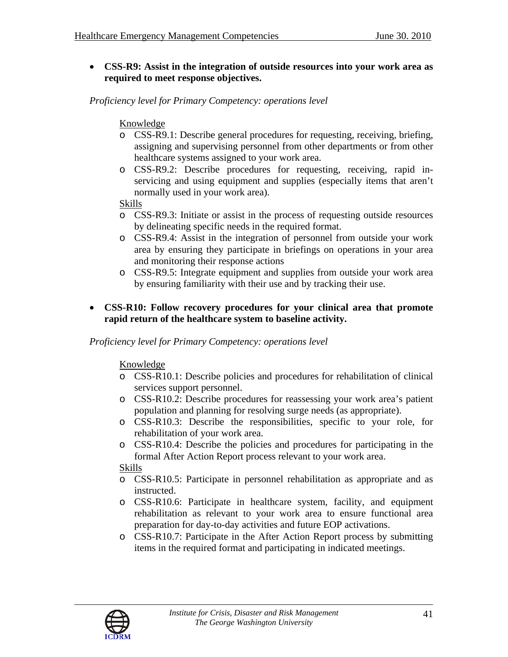• **CSS-R9: Assist in the integration of outside resources into your work area as required to meet response objectives.** 

*Proficiency level for Primary Competency: operations level* 

### Knowledge

- o CSS-R9.1: Describe general procedures for requesting, receiving, briefing, assigning and supervising personnel from other departments or from other healthcare systems assigned to your work area.
- o CSS-R9.2: Describe procedures for requesting, receiving, rapid inservicing and using equipment and supplies (especially items that aren't normally used in your work area).

### Skills

- o CSS-R9.3: Initiate or assist in the process of requesting outside resources by delineating specific needs in the required format.
- o CSS-R9.4: Assist in the integration of personnel from outside your work area by ensuring they participate in briefings on operations in your area and monitoring their response actions
- o CSS-R9.5: Integrate equipment and supplies from outside your work area by ensuring familiarity with their use and by tracking their use.

### • **CSS-R10: Follow recovery procedures for your clinical area that promote rapid return of the healthcare system to baseline activity.**

#### *Proficiency level for Primary Competency: operations level*

#### Knowledge

- o CSS-R10.1: Describe policies and procedures for rehabilitation of clinical services support personnel.
- o CSS-R10.2: Describe procedures for reassessing your work area's patient population and planning for resolving surge needs (as appropriate).
- o CSS-R10.3: Describe the responsibilities, specific to your role, for rehabilitation of your work area.
- o CSS-R10.4: Describe the policies and procedures for participating in the formal After Action Report process relevant to your work area.

- o CSS-R10.5: Participate in personnel rehabilitation as appropriate and as instructed.
- o CSS-R10.6: Participate in healthcare system, facility, and equipment rehabilitation as relevant to your work area to ensure functional area preparation for day-to-day activities and future EOP activations.
- o CSS-R10.7: Participate in the After Action Report process by submitting items in the required format and participating in indicated meetings.

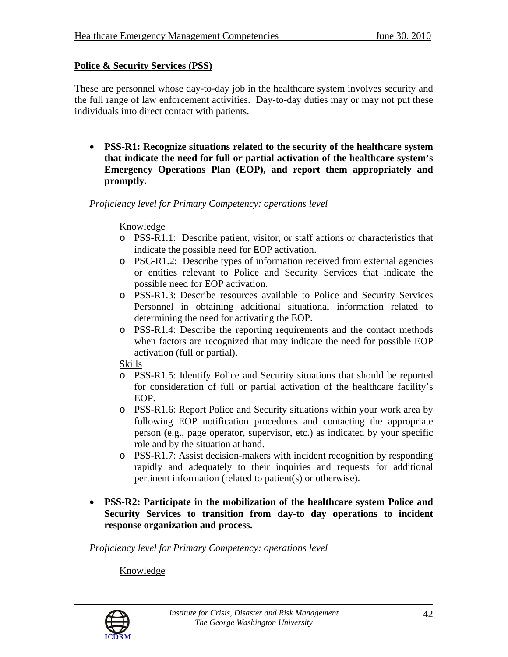### **Police & Security Services (PSS)**

These are personnel whose day-to-day job in the healthcare system involves security and the full range of law enforcement activities. Day-to-day duties may or may not put these individuals into direct contact with patients.

• **PSS-R1: Recognize situations related to the security of the healthcare system that indicate the need for full or partial activation of the healthcare system's Emergency Operations Plan (EOP), and report them appropriately and promptly.** 

*Proficiency level for Primary Competency: operations level* 

#### Knowledge

- o PSS-R1.1: Describe patient, visitor, or staff actions or characteristics that indicate the possible need for EOP activation.
- o PSC-R1.2: Describe types of information received from external agencies or entities relevant to Police and Security Services that indicate the possible need for EOP activation.
- o PSS-R1.3: Describe resources available to Police and Security Services Personnel in obtaining additional situational information related to determining the need for activating the EOP.
- o PSS-R1.4: Describe the reporting requirements and the contact methods when factors are recognized that may indicate the need for possible EOP activation (full or partial).

Skills

- o PSS-R1.5: Identify Police and Security situations that should be reported for consideration of full or partial activation of the healthcare facility's EOP.
- o PSS-R1.6: Report Police and Security situations within your work area by following EOP notification procedures and contacting the appropriate person (e.g., page operator, supervisor, etc.) as indicated by your specific role and by the situation at hand.
- o PSS-R1.7: Assist decision-makers with incident recognition by responding rapidly and adequately to their inquiries and requests for additional pertinent information (related to patient(s) or otherwise).
- **PSS-R2: Participate in the mobilization of the healthcare system Police and Security Services to transition from day-to day operations to incident response organization and process.**

*Proficiency level for Primary Competency: operations level* 

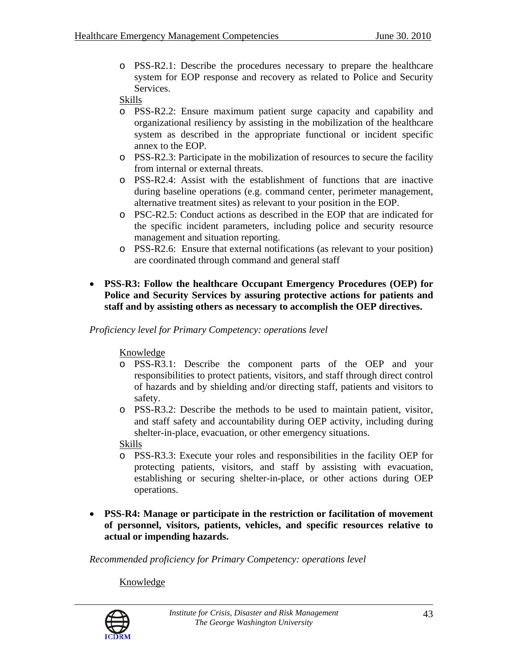o PSS-R2.1: Describe the procedures necessary to prepare the healthcare system for EOP response and recovery as related to Police and Security Services.

#### Skills

- o PSS-R2.2: Ensure maximum patient surge capacity and capability and organizational resiliency by assisting in the mobilization of the healthcare system as described in the appropriate functional or incident specific annex to the EOP.
- o PSS-R2.3: Participate in the mobilization of resources to secure the facility from internal or external threats.
- o PSS-R2.4: Assist with the establishment of functions that are inactive during baseline operations (e.g. command center, perimeter management, alternative treatment sites) as relevant to your position in the EOP.
- o PSC-R2.5: Conduct actions as described in the EOP that are indicated for the specific incident parameters, including police and security resource management and situation reporting.
- o PSS-R2.6: Ensure that external notifications (as relevant to your position) are coordinated through command and general staff
- **PSS-R3: Follow the healthcare Occupant Emergency Procedures (OEP) for Police and Security Services by assuring protective actions for patients and staff and by assisting others as necessary to accomplish the OEP directives.**

*Proficiency level for Primary Competency: operations level* 

Knowledge

- o PSS-R3.1: Describe the component parts of the OEP and your responsibilities to protect patients, visitors, and staff through direct control of hazards and by shielding and/or directing staff, patients and visitors to safety.
- o PSS-R3.2: Describe the methods to be used to maintain patient, visitor, and staff safety and accountability during OEP activity, including during shelter-in-place, evacuation, or other emergency situations.

Skills

- o PSS-R3.3: Execute your roles and responsibilities in the facility OEP for protecting patients, visitors, and staff by assisting with evacuation, establishing or securing shelter-in-place, or other actions during OEP operations.
- **PSS-R4: Manage or participate in the restriction or facilitation of movement of personnel, visitors, patients, vehicles, and specific resources relative to actual or impending hazards.**

*Recommended proficiency for Primary Competency: operations level* 

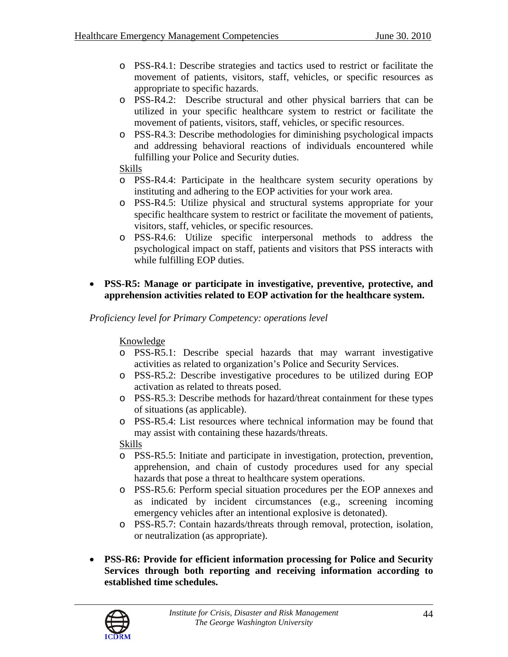- o PSS-R4.1: Describe strategies and tactics used to restrict or facilitate the movement of patients, visitors, staff, vehicles, or specific resources as appropriate to specific hazards.
- o PSS-R4.2: Describe structural and other physical barriers that can be utilized in your specific healthcare system to restrict or facilitate the movement of patients, visitors, staff, vehicles, or specific resources.
- o PSS-R4.3: Describe methodologies for diminishing psychological impacts and addressing behavioral reactions of individuals encountered while fulfilling your Police and Security duties.

### Skills

- o PSS-R4.4: Participate in the healthcare system security operations by instituting and adhering to the EOP activities for your work area.
- o PSS-R4.5: Utilize physical and structural systems appropriate for your specific healthcare system to restrict or facilitate the movement of patients, visitors, staff, vehicles, or specific resources.
- o PSS-R4.6: Utilize specific interpersonal methods to address the psychological impact on staff, patients and visitors that PSS interacts with while fulfilling EOP duties.

### • **PSS-R5: Manage or participate in investigative, preventive, protective, and apprehension activities related to EOP activation for the healthcare system.**

*Proficiency level for Primary Competency: operations level* 

# Knowledge

- o PSS-R5.1: Describe special hazards that may warrant investigative activities as related to organization's Police and Security Services.
- o PSS-R5.2: Describe investigative procedures to be utilized during EOP activation as related to threats posed.
- o PSS-R5.3: Describe methods for hazard/threat containment for these types of situations (as applicable).
- o PSS-R5.4: List resources where technical information may be found that may assist with containing these hazards/threats.

- o PSS-R5.5: Initiate and participate in investigation, protection, prevention, apprehension, and chain of custody procedures used for any special hazards that pose a threat to healthcare system operations.
- o PSS-R5.6: Perform special situation procedures per the EOP annexes and as indicated by incident circumstances (e.g., screening incoming emergency vehicles after an intentional explosive is detonated).
- o PSS-R5.7: Contain hazards/threats through removal, protection, isolation, or neutralization (as appropriate).
- **PSS-R6: Provide for efficient information processing for Police and Security Services through both reporting and receiving information according to established time schedules.**

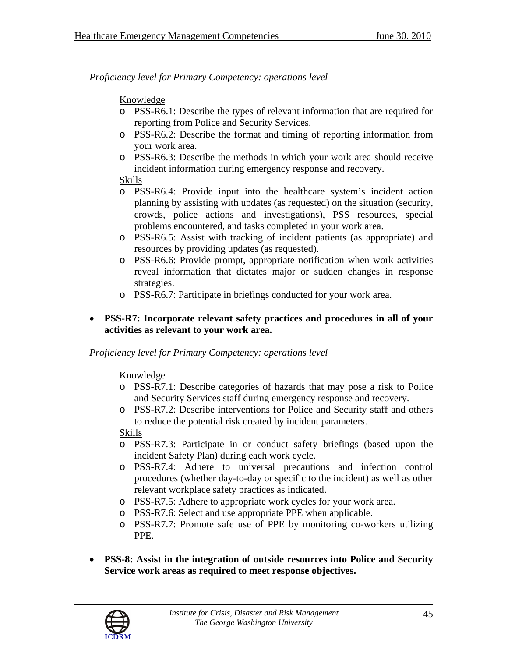# Knowledge

- o PSS-R6.1: Describe the types of relevant information that are required for reporting from Police and Security Services.
- o PSS-R6.2: Describe the format and timing of reporting information from your work area.
- o PSS-R6.3: Describe the methods in which your work area should receive incident information during emergency response and recovery.

### Skills

- o PSS-R6.4: Provide input into the healthcare system's incident action planning by assisting with updates (as requested) on the situation (security, crowds, police actions and investigations), PSS resources, special problems encountered, and tasks completed in your work area.
- o PSS-R6.5: Assist with tracking of incident patients (as appropriate) and resources by providing updates (as requested).
- o PSS-R6.6: Provide prompt, appropriate notification when work activities reveal information that dictates major or sudden changes in response strategies.
- o PSS-R6.7: Participate in briefings conducted for your work area.

### • **PSS-R7: Incorporate relevant safety practices and procedures in all of your activities as relevant to your work area.**

# *Proficiency level for Primary Competency: operations level*

# Knowledge

- o PSS-R7.1: Describe categories of hazards that may pose a risk to Police and Security Services staff during emergency response and recovery.
- o PSS-R7.2: Describe interventions for Police and Security staff and others to reduce the potential risk created by incident parameters.

- o PSS-R7.3: Participate in or conduct safety briefings (based upon the incident Safety Plan) during each work cycle.
- o PSS-R7.4: Adhere to universal precautions and infection control procedures (whether day-to-day or specific to the incident) as well as other relevant workplace safety practices as indicated.
- o PSS-R7.5: Adhere to appropriate work cycles for your work area.
- o PSS-R7.6: Select and use appropriate PPE when applicable.
- o PSS-R7.7: Promote safe use of PPE by monitoring co-workers utilizing PPE.
- **PSS-8: Assist in the integration of outside resources into Police and Security Service work areas as required to meet response objectives.**

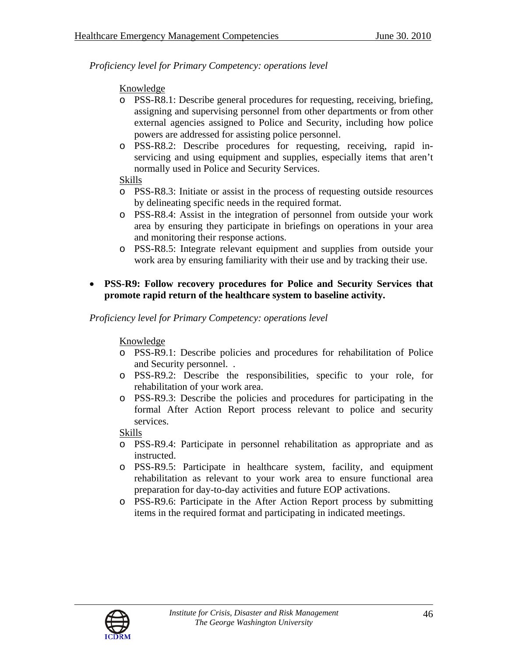### Knowledge

- o PSS-R8.1: Describe general procedures for requesting, receiving, briefing, assigning and supervising personnel from other departments or from other external agencies assigned to Police and Security, including how police powers are addressed for assisting police personnel.
- o PSS-R8.2: Describe procedures for requesting, receiving, rapid inservicing and using equipment and supplies, especially items that aren't normally used in Police and Security Services.

#### Skills

- o PSS-R8.3: Initiate or assist in the process of requesting outside resources by delineating specific needs in the required format.
- o PSS-R8.4: Assist in the integration of personnel from outside your work area by ensuring they participate in briefings on operations in your area and monitoring their response actions.
- o PSS-R8.5: Integrate relevant equipment and supplies from outside your work area by ensuring familiarity with their use and by tracking their use.

### • **PSS-R9: Follow recovery procedures for Police and Security Services that promote rapid return of the healthcare system to baseline activity.**

*Proficiency level for Primary Competency: operations level* 

#### Knowledge

- o PSS-R9.1: Describe policies and procedures for rehabilitation of Police and Security personnel. .
- o PSS-R9.2: Describe the responsibilities, specific to your role, for rehabilitation of your work area.
- o PSS-R9.3: Describe the policies and procedures for participating in the formal After Action Report process relevant to police and security services.

- o PSS-R9.4: Participate in personnel rehabilitation as appropriate and as instructed.
- o PSS-R9.5: Participate in healthcare system, facility, and equipment rehabilitation as relevant to your work area to ensure functional area preparation for day-to-day activities and future EOP activations.
- o PSS-R9.6: Participate in the After Action Report process by submitting items in the required format and participating in indicated meetings.

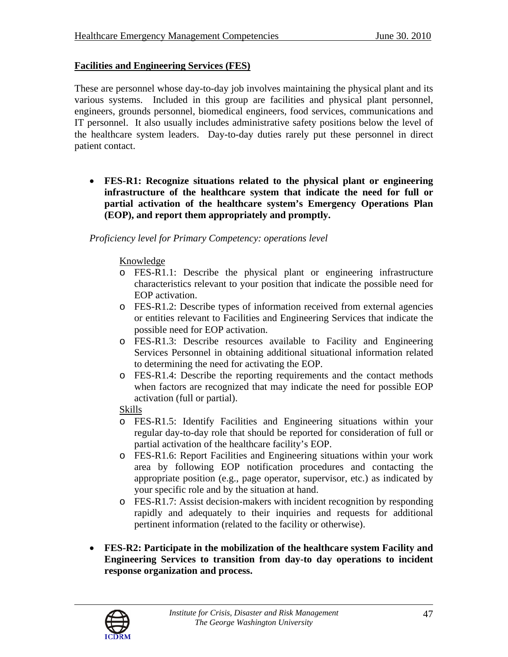# **Facilities and Engineering Services (FES)**

These are personnel whose day-to-day job involves maintaining the physical plant and its various systems. Included in this group are facilities and physical plant personnel, engineers, grounds personnel, biomedical engineers, food services, communications and IT personnel. It also usually includes administrative safety positions below the level of the healthcare system leaders. Day-to-day duties rarely put these personnel in direct patient contact.

• **FES-R1: Recognize situations related to the physical plant or engineering infrastructure of the healthcare system that indicate the need for full or partial activation of the healthcare system's Emergency Operations Plan (EOP), and report them appropriately and promptly.** 

*Proficiency level for Primary Competency: operations level* 

#### Knowledge

- o FES-R1.1: Describe the physical plant or engineering infrastructure characteristics relevant to your position that indicate the possible need for EOP activation.
- o FES-R1.2: Describe types of information received from external agencies or entities relevant to Facilities and Engineering Services that indicate the possible need for EOP activation.
- o FES-R1.3: Describe resources available to Facility and Engineering Services Personnel in obtaining additional situational information related to determining the need for activating the EOP.
- o FES-R1.4: Describe the reporting requirements and the contact methods when factors are recognized that may indicate the need for possible EOP activation (full or partial).

- o FES-R1.5: Identify Facilities and Engineering situations within your regular day-to-day role that should be reported for consideration of full or partial activation of the healthcare facility's EOP.
- o FES-R1.6: Report Facilities and Engineering situations within your work area by following EOP notification procedures and contacting the appropriate position (e.g., page operator, supervisor, etc.) as indicated by your specific role and by the situation at hand.
- o FES-R1.7: Assist decision-makers with incident recognition by responding rapidly and adequately to their inquiries and requests for additional pertinent information (related to the facility or otherwise).
- **FES-R2: Participate in the mobilization of the healthcare system Facility and Engineering Services to transition from day-to day operations to incident response organization and process.**

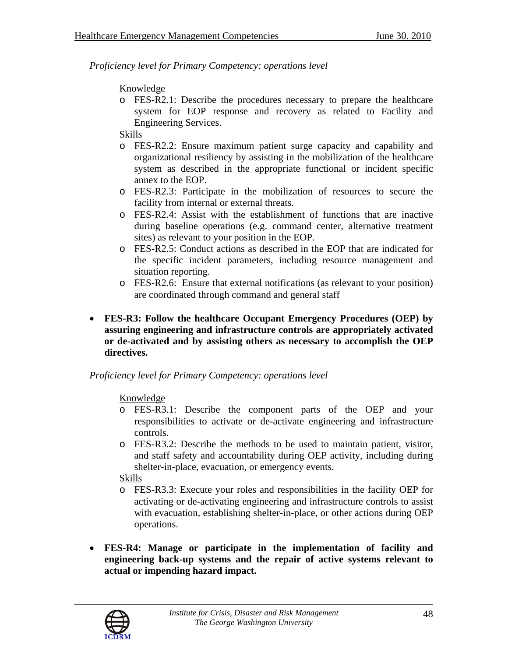# Knowledge

o FES-R2.1: Describe the procedures necessary to prepare the healthcare system for EOP response and recovery as related to Facility and Engineering Services.

# Skills

- o FES-R2.2: Ensure maximum patient surge capacity and capability and organizational resiliency by assisting in the mobilization of the healthcare system as described in the appropriate functional or incident specific annex to the EOP.
- o FES-R2.3: Participate in the mobilization of resources to secure the facility from internal or external threats.
- o FES-R2.4: Assist with the establishment of functions that are inactive during baseline operations (e.g. command center, alternative treatment sites) as relevant to your position in the EOP.
- o FES-R2.5: Conduct actions as described in the EOP that are indicated for the specific incident parameters, including resource management and situation reporting.
- o FES-R2.6: Ensure that external notifications (as relevant to your position) are coordinated through command and general staff
- **FES-R3: Follow the healthcare Occupant Emergency Procedures (OEP) by assuring engineering and infrastructure controls are appropriately activated or de-activated and by assisting others as necessary to accomplish the OEP directives.**

# *Proficiency level for Primary Competency: operations level*

# Knowledge

- o FES-R3.1: Describe the component parts of the OEP and your responsibilities to activate or de-activate engineering and infrastructure controls.
- o FES-R3.2: Describe the methods to be used to maintain patient, visitor, and staff safety and accountability during OEP activity, including during shelter-in-place, evacuation, or emergency events.

- o FES-R3.3: Execute your roles and responsibilities in the facility OEP for activating or de-activating engineering and infrastructure controls to assist with evacuation, establishing shelter-in-place, or other actions during OEP operations.
- **FES-R4: Manage or participate in the implementation of facility and engineering back-up systems and the repair of active systems relevant to actual or impending hazard impact.**

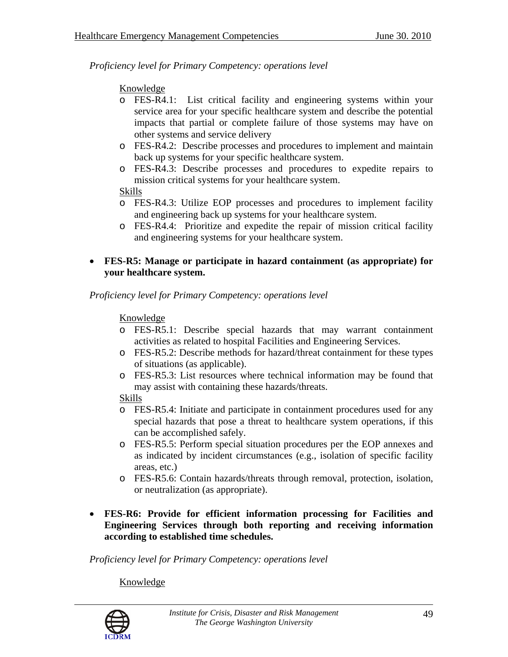# Knowledge

- o FES-R4.1: List critical facility and engineering systems within your service area for your specific healthcare system and describe the potential impacts that partial or complete failure of those systems may have on other systems and service delivery
- o FES-R4.2: Describe processes and procedures to implement and maintain back up systems for your specific healthcare system.
- o FES-R4.3: Describe processes and procedures to expedite repairs to mission critical systems for your healthcare system.

### Skills

- o FES-R4.3: Utilize EOP processes and procedures to implement facility and engineering back up systems for your healthcare system.
- o FES-R4.4: Prioritize and expedite the repair of mission critical facility and engineering systems for your healthcare system.
- **FES-R5: Manage or participate in hazard containment (as appropriate) for your healthcare system.**

*Proficiency level for Primary Competency: operations level* 

# Knowledge

- o FES-R5.1: Describe special hazards that may warrant containment activities as related to hospital Facilities and Engineering Services.
- o FES-R5.2: Describe methods for hazard/threat containment for these types of situations (as applicable).
- o FES-R5.3: List resources where technical information may be found that may assist with containing these hazards/threats.

# Skills

- o FES-R5.4: Initiate and participate in containment procedures used for any special hazards that pose a threat to healthcare system operations, if this can be accomplished safely.
- o FES-R5.5: Perform special situation procedures per the EOP annexes and as indicated by incident circumstances (e.g., isolation of specific facility areas, etc.)
- o FES-R5.6: Contain hazards/threats through removal, protection, isolation, or neutralization (as appropriate).
- **FES-R6: Provide for efficient information processing for Facilities and Engineering Services through both reporting and receiving information according to established time schedules.**

*Proficiency level for Primary Competency: operations level* 

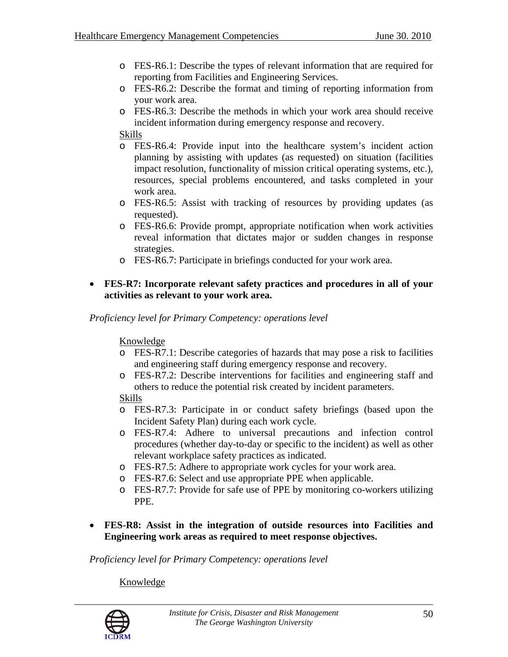- o FES-R6.1: Describe the types of relevant information that are required for reporting from Facilities and Engineering Services.
- o FES-R6.2: Describe the format and timing of reporting information from your work area.
- o FES-R6.3: Describe the methods in which your work area should receive incident information during emergency response and recovery.

Skills

- o FES-R6.4: Provide input into the healthcare system's incident action planning by assisting with updates (as requested) on situation (facilities impact resolution, functionality of mission critical operating systems, etc.), resources, special problems encountered, and tasks completed in your work area.
- o FES-R6.5: Assist with tracking of resources by providing updates (as requested).
- o FES-R6.6: Provide prompt, appropriate notification when work activities reveal information that dictates major or sudden changes in response strategies.
- o FES-R6.7: Participate in briefings conducted for your work area.

### • **FES-R7: Incorporate relevant safety practices and procedures in all of your activities as relevant to your work area.**

*Proficiency level for Primary Competency: operations level* 

Knowledge

- o FES-R7.1: Describe categories of hazards that may pose a risk to facilities and engineering staff during emergency response and recovery.
- o FES-R7.2: Describe interventions for facilities and engineering staff and others to reduce the potential risk created by incident parameters.

# Skills

- o FES-R7.3: Participate in or conduct safety briefings (based upon the Incident Safety Plan) during each work cycle.
- o FES-R7.4: Adhere to universal precautions and infection control procedures (whether day-to-day or specific to the incident) as well as other relevant workplace safety practices as indicated.
- o FES-R7.5: Adhere to appropriate work cycles for your work area.
- o FES-R7.6: Select and use appropriate PPE when applicable.
- o FES-R7.7: Provide for safe use of PPE by monitoring co-workers utilizing PPE.
- **FES-R8: Assist in the integration of outside resources into Facilities and Engineering work areas as required to meet response objectives.**

*Proficiency level for Primary Competency: operations level* 

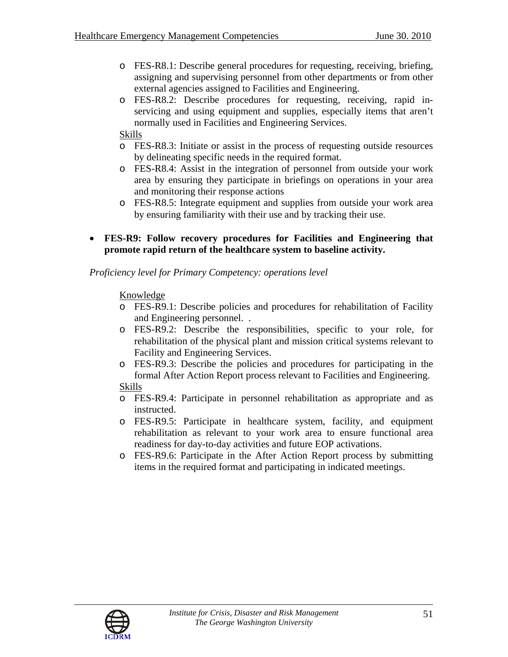- o FES-R8.1: Describe general procedures for requesting, receiving, briefing, assigning and supervising personnel from other departments or from other external agencies assigned to Facilities and Engineering.
- o FES-R8.2: Describe procedures for requesting, receiving, rapid inservicing and using equipment and supplies, especially items that aren't normally used in Facilities and Engineering Services.

### Skills

- o FES-R8.3: Initiate or assist in the process of requesting outside resources by delineating specific needs in the required format.
- o FES-R8.4: Assist in the integration of personnel from outside your work area by ensuring they participate in briefings on operations in your area and monitoring their response actions
- o FES-R8.5: Integrate equipment and supplies from outside your work area by ensuring familiarity with their use and by tracking their use.
- **FES-R9: Follow recovery procedures for Facilities and Engineering that promote rapid return of the healthcare system to baseline activity.**

### *Proficiency level for Primary Competency: operations level*

- o FES-R9.1: Describe policies and procedures for rehabilitation of Facility and Engineering personnel. .
- o FES-R9.2: Describe the responsibilities, specific to your role, for rehabilitation of the physical plant and mission critical systems relevant to Facility and Engineering Services.
- o FES-R9.3: Describe the policies and procedures for participating in the formal After Action Report process relevant to Facilities and Engineering. Skills
- o FES-R9.4: Participate in personnel rehabilitation as appropriate and as instructed.
- o FES-R9.5: Participate in healthcare system, facility, and equipment rehabilitation as relevant to your work area to ensure functional area readiness for day-to-day activities and future EOP activations.
- o FES-R9.6: Participate in the After Action Report process by submitting items in the required format and participating in indicated meetings.

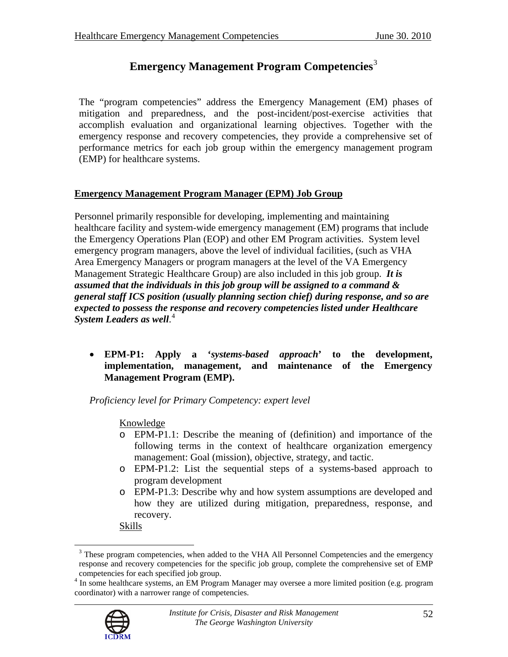# **Emergency Management Program Competencies**[3](#page-51-0)

The "program competencies" address the Emergency Management (EM) phases of mitigation and preparedness, and the post-incident/post-exercise activities that accomplish evaluation and organizational learning objectives. Together with the emergency response and recovery competencies, they provide a comprehensive set of performance metrics for each job group within the emergency management program (EMP) for healthcare systems.

# **Emergency Management Program Manager (EPM) Job Group**

Personnel primarily responsible for developing, implementing and maintaining healthcare facility and system-wide emergency management (EM) programs that include the Emergency Operations Plan (EOP) and other EM Program activities. System level emergency program managers, above the level of individual facilities, (such as VHA Area Emergency Managers or program managers at the level of the VA Emergency Management Strategic Healthcare Group) are also included in this job group. *It is assumed that the individuals in this job group will be assigned to a command & general staff ICS position (usually planning section chief) during response, and so are expected to possess the response and recovery competencies listed under Healthcare System Leaders as well*. [4](#page-51-1)

• **EPM-P1: Apply a '***systems-based approach***' to the development, implementation, management, and maintenance of the Emergency Management Program (EMP).** 

*Proficiency level for Primary Competency: expert level* 

# Knowledge

- o EPM-P1.1: Describe the meaning of (definition) and importance of the following terms in the context of healthcare organization emergency management: Goal (mission), objective, strategy, and tactic.
- o EPM-P1.2: List the sequential steps of a systems-based approach to program development
- o EPM-P1.3: Describe why and how system assumptions are developed and how they are utilized during mitigation, preparedness, response, and recovery.

Skills

<span id="page-51-1"></span><sup>&</sup>lt;sup>4</sup> In some healthcare systems, an EM Program Manager may oversee a more limited position (e.g. program coordinator) with a narrower range of competencies.



<span id="page-51-0"></span> $\overline{a}$ 

<sup>&</sup>lt;sup>3</sup> These program competencies, when added to the VHA All Personnel Competencies and the emergency response and recovery competencies for the specific job group, complete the comprehensive set of EMP competencies for each specified job group. 4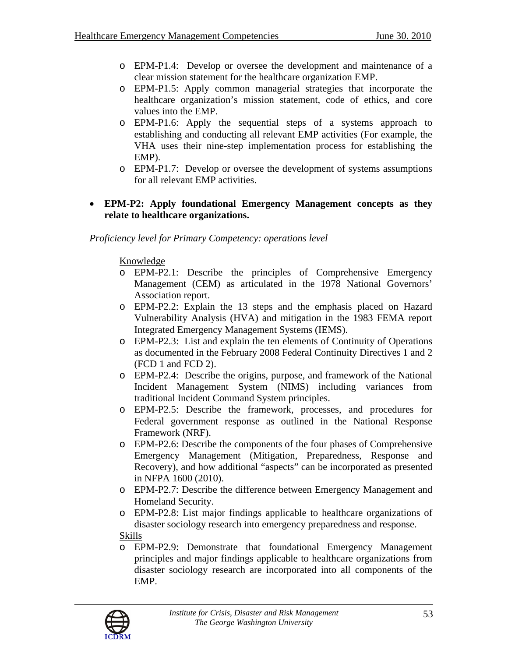- o EPM-P1.4: Develop or oversee the development and maintenance of a clear mission statement for the healthcare organization EMP.
- o EPM-P1.5: Apply common managerial strategies that incorporate the healthcare organization's mission statement, code of ethics, and core values into the EMP.
- o EPM-P1.6: Apply the sequential steps of a systems approach to establishing and conducting all relevant EMP activities (For example, the VHA uses their nine-step implementation process for establishing the EMP).
- o EPM-P1.7: Develop or oversee the development of systems assumptions for all relevant EMP activities.

### • **EPM-P2: Apply foundational Emergency Management concepts as they relate to healthcare organizations.**

# *Proficiency level for Primary Competency: operations level*

- o EPM-P2.1: Describe the principles of Comprehensive Emergency Management (CEM) as articulated in the 1978 National Governors' Association report.
- o EPM-P2.2: Explain the 13 steps and the emphasis placed on Hazard Vulnerability Analysis (HVA) and mitigation in the 1983 FEMA report Integrated Emergency Management Systems (IEMS).
- o EPM-P2.3: List and explain the ten elements of Continuity of Operations as documented in the February 2008 Federal Continuity Directives 1 and 2 (FCD 1 and FCD 2).
- o EPM-P2.4: Describe the origins, purpose, and framework of the National Incident Management System (NIMS) including variances from traditional Incident Command System principles.
- o EPM-P2.5: Describe the framework, processes, and procedures for Federal government response as outlined in the National Response Framework (NRF).
- o EPM-P2.6: Describe the components of the four phases of Comprehensive Emergency Management (Mitigation, Preparedness, Response and Recovery), and how additional "aspects" can be incorporated as presented in NFPA 1600 (2010).
- o EPM-P2.7: Describe the difference between Emergency Management and Homeland Security.
- o EPM-P2.8: List major findings applicable to healthcare organizations of disaster sociology research into emergency preparedness and response. Skills
- o EPM-P2.9: Demonstrate that foundational Emergency Management principles and major findings applicable to healthcare organizations from disaster sociology research are incorporated into all components of the EMP.

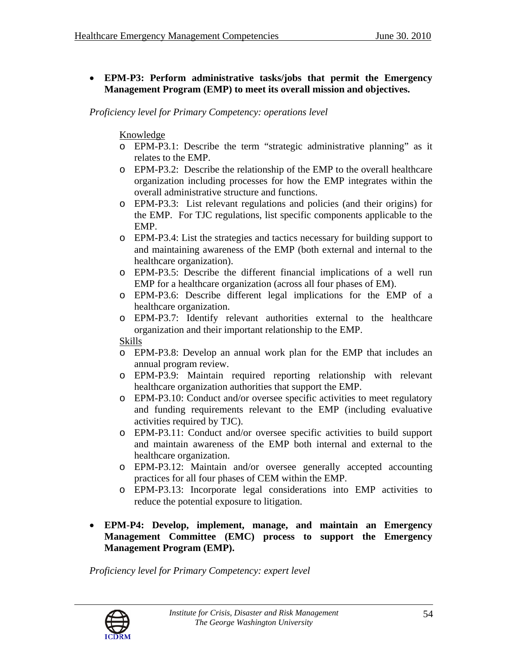### • **EPM-P3: Perform administrative tasks/jobs that permit the Emergency Management Program (EMP) to meet its overall mission and objectives.**

*Proficiency level for Primary Competency: operations level* 

### Knowledge

- o EPM-P3.1: Describe the term "strategic administrative planning" as it relates to the EMP.
- o EPM-P3.2: Describe the relationship of the EMP to the overall healthcare organization including processes for how the EMP integrates within the overall administrative structure and functions.
- o EPM-P3.3: List relevant regulations and policies (and their origins) for the EMP. For TJC regulations, list specific components applicable to the EMP.
- o EPM-P3.4: List the strategies and tactics necessary for building support to and maintaining awareness of the EMP (both external and internal to the healthcare organization).
- o EPM-P3.5: Describe the different financial implications of a well run EMP for a healthcare organization (across all four phases of EM).
- o EPM-P3.6: Describe different legal implications for the EMP of a healthcare organization.
- o EPM-P3.7: Identify relevant authorities external to the healthcare organization and their important relationship to the EMP.

#### Skills

- o EPM-P3.8: Develop an annual work plan for the EMP that includes an annual program review.
- o EPM-P3.9: Maintain required reporting relationship with relevant healthcare organization authorities that support the EMP.
- o EPM-P3.10: Conduct and/or oversee specific activities to meet regulatory and funding requirements relevant to the EMP (including evaluative activities required by TJC).
- o EPM-P3.11: Conduct and/or oversee specific activities to build support and maintain awareness of the EMP both internal and external to the healthcare organization.
- o EPM-P3.12: Maintain and/or oversee generally accepted accounting practices for all four phases of CEM within the EMP.
- o EPM-P3.13: Incorporate legal considerations into EMP activities to reduce the potential exposure to litigation.

#### • **EPM-P4: Develop, implement, manage, and maintain an Emergency Management Committee (EMC) process to support the Emergency Management Program (EMP).**

*Proficiency level for Primary Competency: expert level* 

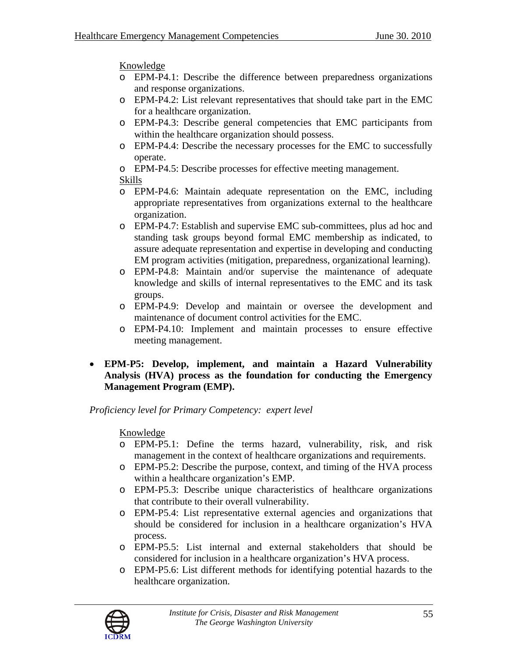Knowledge

- o EPM-P4.1: Describe the difference between preparedness organizations and response organizations.
- o EPM-P4.2: List relevant representatives that should take part in the EMC for a healthcare organization.
- o EPM-P4.3: Describe general competencies that EMC participants from within the healthcare organization should possess.
- o EPM-P4.4: Describe the necessary processes for the EMC to successfully operate.
- o EPM-P4.5: Describe processes for effective meeting management.
- Skills
- o EPM-P4.6: Maintain adequate representation on the EMC, including appropriate representatives from organizations external to the healthcare organization.
- o EPM-P4.7: Establish and supervise EMC sub-committees, plus ad hoc and standing task groups beyond formal EMC membership as indicated, to assure adequate representation and expertise in developing and conducting EM program activities (mitigation, preparedness, organizational learning).
- o EPM-P4.8: Maintain and/or supervise the maintenance of adequate knowledge and skills of internal representatives to the EMC and its task groups.
- o EPM-P4.9: Develop and maintain or oversee the development and maintenance of document control activities for the EMC.
- o EPM-P4.10: Implement and maintain processes to ensure effective meeting management.
- **EPM-P5: Develop, implement, and maintain a Hazard Vulnerability Analysis (HVA) process as the foundation for conducting the Emergency Management Program (EMP).**

*Proficiency level for Primary Competency: expert level* 

- o EPM-P5.1: Define the terms hazard, vulnerability, risk, and risk management in the context of healthcare organizations and requirements.
- o EPM-P5.2: Describe the purpose, context, and timing of the HVA process within a healthcare organization's EMP.
- o EPM-P5.3: Describe unique characteristics of healthcare organizations that contribute to their overall vulnerability.
- o EPM-P5.4: List representative external agencies and organizations that should be considered for inclusion in a healthcare organization's HVA process.
- o EPM-P5.5: List internal and external stakeholders that should be considered for inclusion in a healthcare organization's HVA process.
- o EPM-P5.6: List different methods for identifying potential hazards to the healthcare organization.

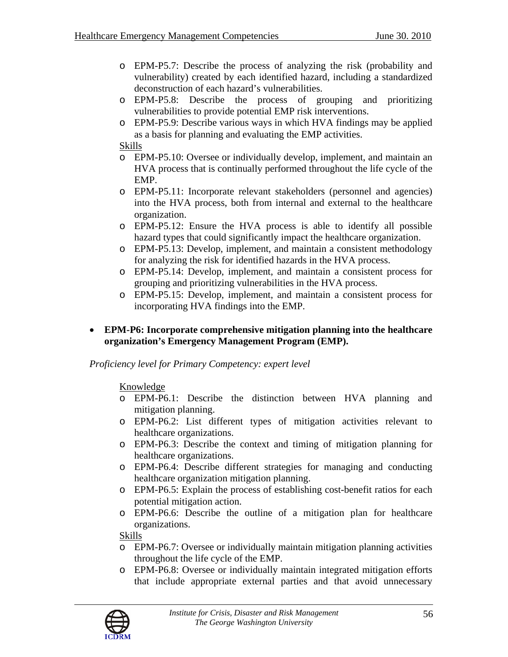- o EPM-P5.7: Describe the process of analyzing the risk (probability and vulnerability) created by each identified hazard, including a standardized deconstruction of each hazard's vulnerabilities.
- o EPM-P5.8: Describe the process of grouping and prioritizing vulnerabilities to provide potential EMP risk interventions.
- o EPM-P5.9: Describe various ways in which HVA findings may be applied as a basis for planning and evaluating the EMP activities.

Skills

- o EPM-P5.10: Oversee or individually develop, implement, and maintain an HVA process that is continually performed throughout the life cycle of the EMP.
- o EPM-P5.11: Incorporate relevant stakeholders (personnel and agencies) into the HVA process, both from internal and external to the healthcare organization.
- o EPM-P5.12: Ensure the HVA process is able to identify all possible hazard types that could significantly impact the healthcare organization.
- o EPM-P5.13: Develop, implement, and maintain a consistent methodology for analyzing the risk for identified hazards in the HVA process.
- o EPM-P5.14: Develop, implement, and maintain a consistent process for grouping and prioritizing vulnerabilities in the HVA process.
- o EPM-P5.15: Develop, implement, and maintain a consistent process for incorporating HVA findings into the EMP.
- **EPM-P6: Incorporate comprehensive mitigation planning into the healthcare organization's Emergency Management Program (EMP).**

#### *Proficiency level for Primary Competency: expert level*

Knowledge

- o EPM-P6.1: Describe the distinction between HVA planning and mitigation planning.
- o EPM-P6.2: List different types of mitigation activities relevant to healthcare organizations.
- o EPM-P6.3: Describe the context and timing of mitigation planning for healthcare organizations.
- o EPM-P6.4: Describe different strategies for managing and conducting healthcare organization mitigation planning.
- o EPM-P6.5: Explain the process of establishing cost-benefit ratios for each potential mitigation action.
- o EPM-P6.6: Describe the outline of a mitigation plan for healthcare organizations.

- o EPM-P6.7: Oversee or individually maintain mitigation planning activities throughout the life cycle of the EMP.
- o EPM-P6.8: Oversee or individually maintain integrated mitigation efforts that include appropriate external parties and that avoid unnecessary

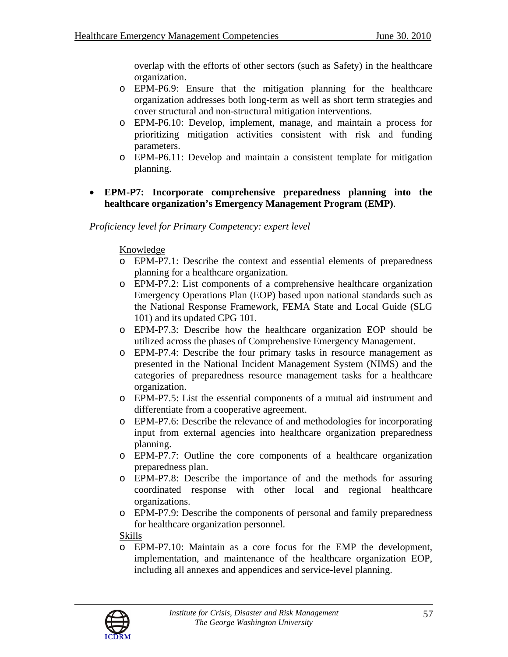overlap with the efforts of other sectors (such as Safety) in the healthcare organization.

- o EPM-P6.9: Ensure that the mitigation planning for the healthcare organization addresses both long-term as well as short term strategies and cover structural and non-structural mitigation interventions.
- o EPM-P6.10: Develop, implement, manage, and maintain a process for prioritizing mitigation activities consistent with risk and funding parameters.
- o EPM-P6.11: Develop and maintain a consistent template for mitigation planning.
- **EPM-P7: Incorporate comprehensive preparedness planning into the healthcare organization's Emergency Management Program (EMP)**.

*Proficiency level for Primary Competency: expert level* 

### Knowledge

- o EPM-P7.1: Describe the context and essential elements of preparedness planning for a healthcare organization.
- o EPM-P7.2: List components of a comprehensive healthcare organization Emergency Operations Plan (EOP) based upon national standards such as the National Response Framework, FEMA State and Local Guide (SLG 101) and its updated CPG 101.
- o EPM-P7.3: Describe how the healthcare organization EOP should be utilized across the phases of Comprehensive Emergency Management.
- o EPM-P7.4: Describe the four primary tasks in resource management as presented in the National Incident Management System (NIMS) and the categories of preparedness resource management tasks for a healthcare organization.
- o EPM-P7.5: List the essential components of a mutual aid instrument and differentiate from a cooperative agreement.
- o EPM-P7.6: Describe the relevance of and methodologies for incorporating input from external agencies into healthcare organization preparedness planning.
- o EPM-P7.7: Outline the core components of a healthcare organization preparedness plan.
- o EPM-P7.8: Describe the importance of and the methods for assuring coordinated response with other local and regional healthcare organizations.
- o EPM-P7.9: Describe the components of personal and family preparedness for healthcare organization personnel.

#### Skills

o EPM-P7.10: Maintain as a core focus for the EMP the development, implementation, and maintenance of the healthcare organization EOP, including all annexes and appendices and service-level planning.

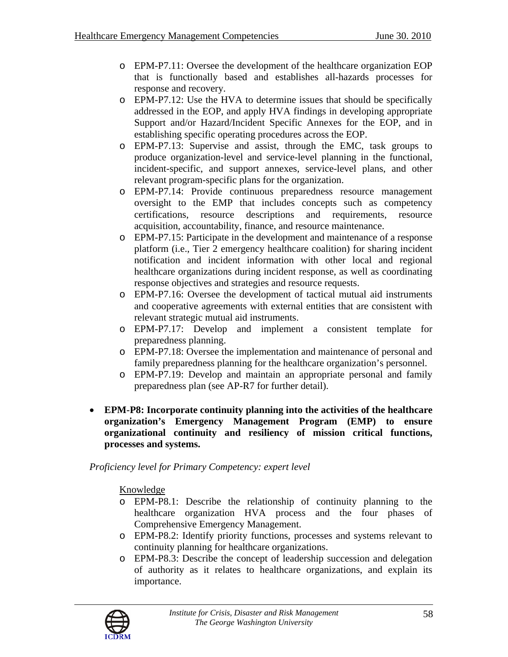- o EPM-P7.11: Oversee the development of the healthcare organization EOP that is functionally based and establishes all-hazards processes for response and recovery.
- o EPM-P7.12: Use the HVA to determine issues that should be specifically addressed in the EOP, and apply HVA findings in developing appropriate Support and/or Hazard/Incident Specific Annexes for the EOP, and in establishing specific operating procedures across the EOP.
- o EPM-P7.13: Supervise and assist, through the EMC, task groups to produce organization-level and service-level planning in the functional, incident-specific, and support annexes, service-level plans, and other relevant program-specific plans for the organization.
- o EPM-P7.14: Provide continuous preparedness resource management oversight to the EMP that includes concepts such as competency certifications, resource descriptions and requirements, resource acquisition, accountability, finance, and resource maintenance.
- o EPM-P7.15: Participate in the development and maintenance of a response platform (i.e., Tier 2 emergency healthcare coalition) for sharing incident notification and incident information with other local and regional healthcare organizations during incident response, as well as coordinating response objectives and strategies and resource requests.
- o EPM-P7.16: Oversee the development of tactical mutual aid instruments and cooperative agreements with external entities that are consistent with relevant strategic mutual aid instruments.
- o EPM-P7.17: Develop and implement a consistent template for preparedness planning.
- o EPM-P7.18: Oversee the implementation and maintenance of personal and family preparedness planning for the healthcare organization's personnel.
- o EPM-P7.19: Develop and maintain an appropriate personal and family preparedness plan (see AP-R7 for further detail).
- **EPM-P8: Incorporate continuity planning into the activities of the healthcare organization's Emergency Management Program (EMP) to ensure organizational continuity and resiliency of mission critical functions, processes and systems.**

- o EPM-P8.1: Describe the relationship of continuity planning to the healthcare organization HVA process and the four phases of Comprehensive Emergency Management.
- o EPM-P8.2: Identify priority functions, processes and systems relevant to continuity planning for healthcare organizations.
- o EPM-P8.3: Describe the concept of leadership succession and delegation of authority as it relates to healthcare organizations, and explain its importance.

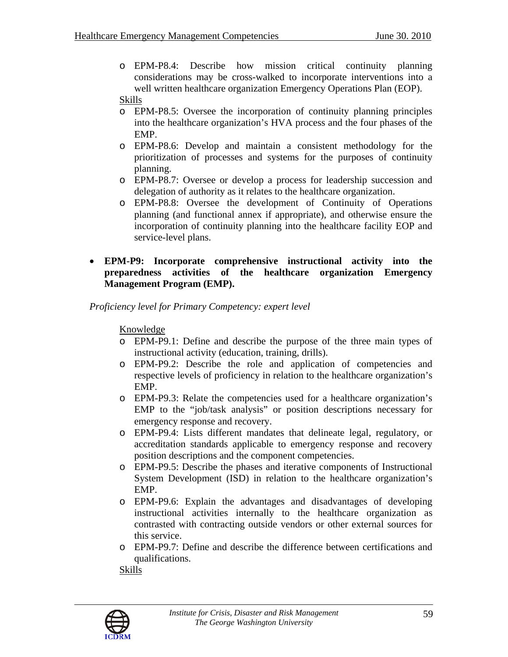o EPM-P8.4: Describe how mission critical continuity planning considerations may be cross-walked to incorporate interventions into a well written healthcare organization Emergency Operations Plan (EOP).

#### Skills

- o EPM-P8.5: Oversee the incorporation of continuity planning principles into the healthcare organization's HVA process and the four phases of the EMP.
- o EPM-P8.6: Develop and maintain a consistent methodology for the prioritization of processes and systems for the purposes of continuity planning.
- o EPM-P8.7: Oversee or develop a process for leadership succession and delegation of authority as it relates to the healthcare organization.
- o EPM-P8.8: Oversee the development of Continuity of Operations planning (and functional annex if appropriate), and otherwise ensure the incorporation of continuity planning into the healthcare facility EOP and service-level plans.
- **EPM-P9: Incorporate comprehensive instructional activity into the preparedness activities of the healthcare organization Emergency Management Program (EMP).**

*Proficiency level for Primary Competency: expert level* 

#### Knowledge

- o EPM-P9.1: Define and describe the purpose of the three main types of instructional activity (education, training, drills).
- o EPM-P9.2: Describe the role and application of competencies and respective levels of proficiency in relation to the healthcare organization's EMP.
- o EPM-P9.3: Relate the competencies used for a healthcare organization's EMP to the "job/task analysis" or position descriptions necessary for emergency response and recovery.
- o EPM-P9.4: Lists different mandates that delineate legal, regulatory, or accreditation standards applicable to emergency response and recovery position descriptions and the component competencies.
- o EPM-P9.5: Describe the phases and iterative components of Instructional System Development (ISD) in relation to the healthcare organization's EMP.
- o EPM-P9.6: Explain the advantages and disadvantages of developing instructional activities internally to the healthcare organization as contrasted with contracting outside vendors or other external sources for this service.
- o EPM-P9.7: Define and describe the difference between certifications and qualifications.

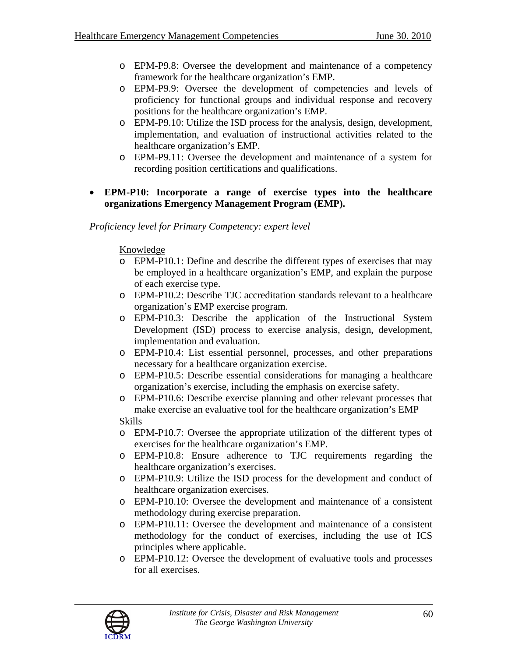- o EPM-P9.8: Oversee the development and maintenance of a competency framework for the healthcare organization's EMP.
- o EPM-P9.9: Oversee the development of competencies and levels of proficiency for functional groups and individual response and recovery positions for the healthcare organization's EMP.
- o EPM-P9.10: Utilize the ISD process for the analysis, design, development, implementation, and evaluation of instructional activities related to the healthcare organization's EMP.
- o EPM-P9.11: Oversee the development and maintenance of a system for recording position certifications and qualifications.

# • **EPM-P10: Incorporate a range of exercise types into the healthcare organizations Emergency Management Program (EMP).**

### *Proficiency level for Primary Competency: expert level*

### Knowledge

- o EPM-P10.1: Define and describe the different types of exercises that may be employed in a healthcare organization's EMP, and explain the purpose of each exercise type.
- o EPM-P10.2: Describe TJC accreditation standards relevant to a healthcare organization's EMP exercise program.
- o EPM-P10.3: Describe the application of the Instructional System Development (ISD) process to exercise analysis, design, development, implementation and evaluation.
- o EPM-P10.4: List essential personnel, processes, and other preparations necessary for a healthcare organization exercise.
- o EPM-P10.5: Describe essential considerations for managing a healthcare organization's exercise, including the emphasis on exercise safety.
- o EPM-P10.6: Describe exercise planning and other relevant processes that make exercise an evaluative tool for the healthcare organization's EMP

- o EPM-P10.7: Oversee the appropriate utilization of the different types of exercises for the healthcare organization's EMP.
- o EPM-P10.8: Ensure adherence to TJC requirements regarding the healthcare organization's exercises.
- o EPM-P10.9: Utilize the ISD process for the development and conduct of healthcare organization exercises.
- o EPM-P10.10: Oversee the development and maintenance of a consistent methodology during exercise preparation.
- o EPM-P10.11: Oversee the development and maintenance of a consistent methodology for the conduct of exercises, including the use of ICS principles where applicable.
- o EPM-P10.12: Oversee the development of evaluative tools and processes for all exercises.

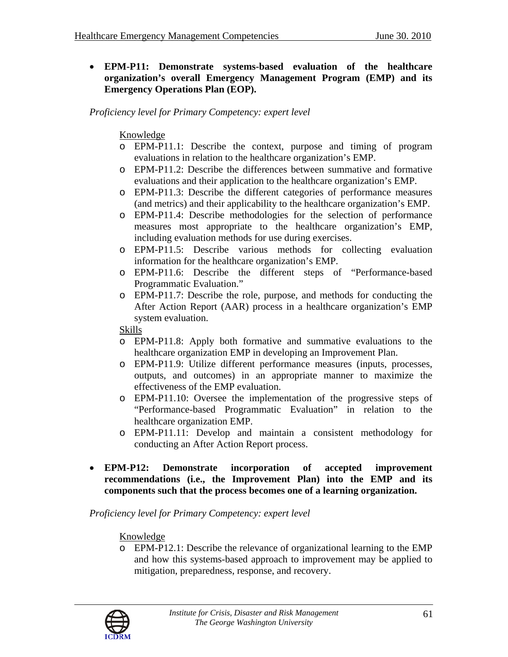• **EPM-P11: Demonstrate systems-based evaluation of the healthcare organization's overall Emergency Management Program (EMP) and its Emergency Operations Plan (EOP).** 

*Proficiency level for Primary Competency: expert level* 

# Knowledge

- o EPM-P11.1: Describe the context, purpose and timing of program evaluations in relation to the healthcare organization's EMP.
- o EPM-P11.2: Describe the differences between summative and formative evaluations and their application to the healthcare organization's EMP.
- o EPM-P11.3: Describe the different categories of performance measures (and metrics) and their applicability to the healthcare organization's EMP.
- o EPM-P11.4: Describe methodologies for the selection of performance measures most appropriate to the healthcare organization's EMP, including evaluation methods for use during exercises.
- o EPM-P11.5: Describe various methods for collecting evaluation information for the healthcare organization's EMP.
- o EPM-P11.6: Describe the different steps of "Performance-based Programmatic Evaluation."
- o EPM-P11.7: Describe the role, purpose, and methods for conducting the After Action Report (AAR) process in a healthcare organization's EMP system evaluation.

#### Skills

- o EPM-P11.8: Apply both formative and summative evaluations to the healthcare organization EMP in developing an Improvement Plan.
- o EPM-P11.9: Utilize different performance measures (inputs, processes, outputs, and outcomes) in an appropriate manner to maximize the effectiveness of the EMP evaluation.
- o EPM-P11.10: Oversee the implementation of the progressive steps of "Performance-based Programmatic Evaluation" in relation to the healthcare organization EMP.
- o EPM-P11.11: Develop and maintain a consistent methodology for conducting an After Action Report process.
- **EPM-P12: Demonstrate incorporation of accepted improvement recommendations (i.e., the Improvement Plan) into the EMP and its components such that the process becomes one of a learning organization.**

#### *Proficiency level for Primary Competency: expert level*

# Knowledge

o EPM-P12.1: Describe the relevance of organizational learning to the EMP and how this systems-based approach to improvement may be applied to mitigation, preparedness, response, and recovery.

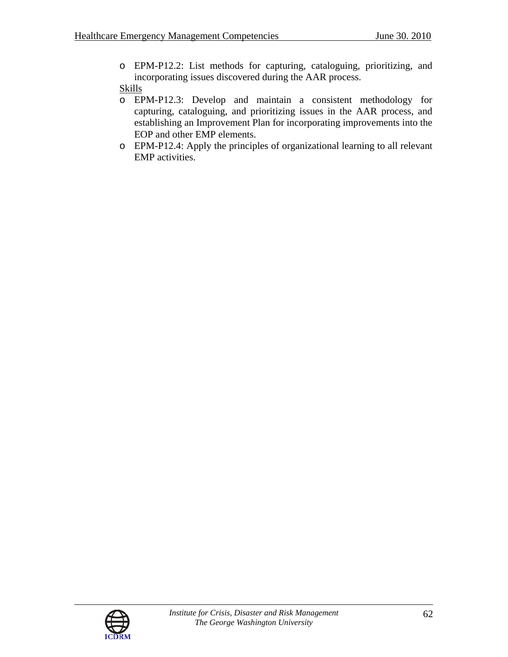o EPM-P12.2: List methods for capturing, cataloguing, prioritizing, and incorporating issues discovered during the AAR process.

- o EPM-P12.3: Develop and maintain a consistent methodology for capturing, cataloguing, and prioritizing issues in the AAR process, and establishing an Improvement Plan for incorporating improvements into the EOP and other EMP elements.
- o EPM-P12.4: Apply the principles of organizational learning to all relevant EMP activities.

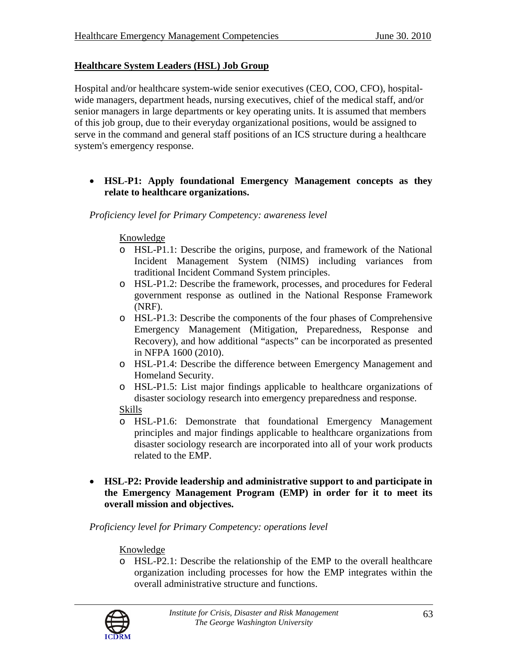# **Healthcare System Leaders (HSL) Job Group**

Hospital and/or healthcare system-wide senior executives (CEO, COO, CFO), hospitalwide managers, department heads, nursing executives, chief of the medical staff, and/or senior managers in large departments or key operating units. It is assumed that members of this job group, due to their everyday organizational positions, would be assigned to serve in the command and general staff positions of an ICS structure during a healthcare system's emergency response.

### • **HSL-P1: Apply foundational Emergency Management concepts as they relate to healthcare organizations.**

*Proficiency level for Primary Competency: awareness level* 

#### Knowledge

- o HSL-P1.1: Describe the origins, purpose, and framework of the National Incident Management System (NIMS) including variances from traditional Incident Command System principles.
- o HSL-P1.2: Describe the framework, processes, and procedures for Federal government response as outlined in the National Response Framework (NRF).
- o HSL-P1.3: Describe the components of the four phases of Comprehensive Emergency Management (Mitigation, Preparedness, Response and Recovery), and how additional "aspects" can be incorporated as presented in NFPA 1600 (2010).
- o HSL-P1.4: Describe the difference between Emergency Management and Homeland Security.
- o HSL-P1.5: List major findings applicable to healthcare organizations of disaster sociology research into emergency preparedness and response.
- Skills
- o HSL-P1.6: Demonstrate that foundational Emergency Management principles and major findings applicable to healthcare organizations from disaster sociology research are incorporated into all of your work products related to the EMP.
- **HSL-P2: Provide leadership and administrative support to and participate in the Emergency Management Program (EMP) in order for it to meet its overall mission and objectives.**

*Proficiency level for Primary Competency: operations level* 

#### Knowledge

o HSL-P2.1: Describe the relationship of the EMP to the overall healthcare organization including processes for how the EMP integrates within the overall administrative structure and functions.

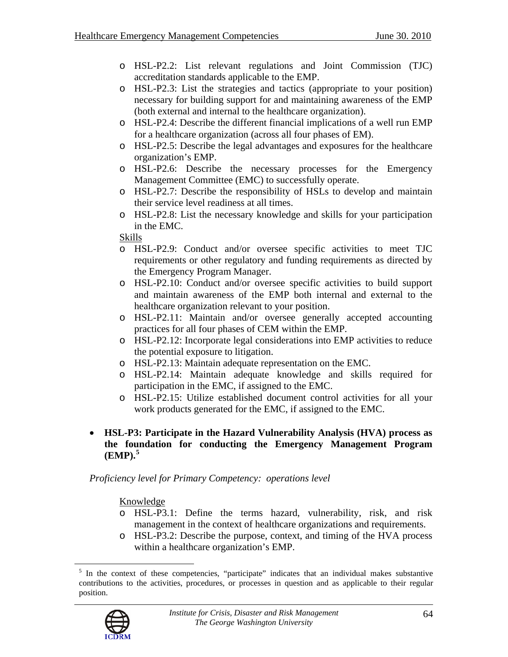- o HSL-P2.2: List relevant regulations and Joint Commission (TJC) accreditation standards applicable to the EMP.
- o HSL-P2.3: List the strategies and tactics (appropriate to your position) necessary for building support for and maintaining awareness of the EMP (both external and internal to the healthcare organization).
- o HSL-P2.4: Describe the different financial implications of a well run EMP for a healthcare organization (across all four phases of EM).
- o HSL-P2.5: Describe the legal advantages and exposures for the healthcare organization's EMP.
- o HSL-P2.6: Describe the necessary processes for the Emergency Management Committee (EMC) to successfully operate.
- o HSL-P2.7: Describe the responsibility of HSLs to develop and maintain their service level readiness at all times.
- o HSL-P2.8: List the necessary knowledge and skills for your participation in the EMC.

#### Skills

- o HSL-P2.9: Conduct and/or oversee specific activities to meet TJC requirements or other regulatory and funding requirements as directed by the Emergency Program Manager.
- o HSL-P2.10: Conduct and/or oversee specific activities to build support and maintain awareness of the EMP both internal and external to the healthcare organization relevant to your position.
- o HSL-P2.11: Maintain and/or oversee generally accepted accounting practices for all four phases of CEM within the EMP.
- o HSL-P2.12: Incorporate legal considerations into EMP activities to reduce the potential exposure to litigation.
- o HSL-P2.13: Maintain adequate representation on the EMC.
- o HSL-P2.14: Maintain adequate knowledge and skills required for participation in the EMC, if assigned to the EMC.
- o HSL-P2.15: Utilize established document control activities for all your work products generated for the EMC, if assigned to the EMC.

#### • **HSL-P3: Participate in the Hazard Vulnerability Analysis (HVA) process as the foundation for conducting the Emergency Management Program (EMP).[5](#page-63-0)**

*Proficiency level for Primary Competency: operations level* 

#### Knowledge

- o HSL-P3.1: Define the terms hazard, vulnerability, risk, and risk management in the context of healthcare organizations and requirements.
- o HSL-P3.2: Describe the purpose, context, and timing of the HVA process within a healthcare organization's EMP.

<sup>&</sup>lt;sup>5</sup> In the context of these competencies, "participate" indicates that an individual makes substantive contributions to the activities, procedures, or processes in question and as applicable to their regular position.



<span id="page-63-0"></span> $\overline{a}$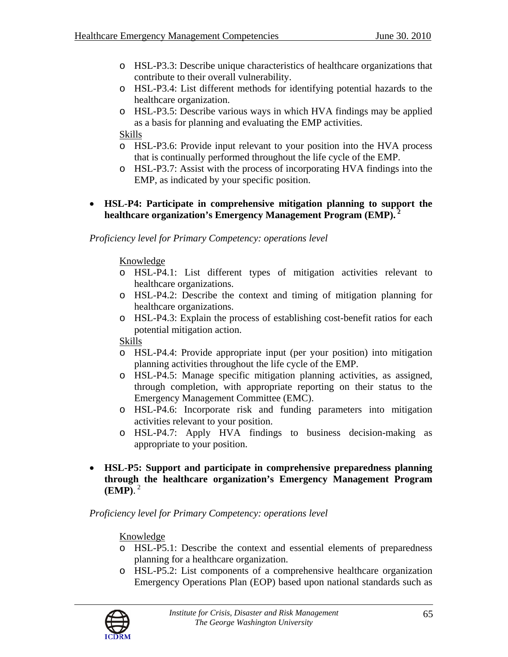- o HSL-P3.3: Describe unique characteristics of healthcare organizations that contribute to their overall vulnerability.
- o HSL-P3.4: List different methods for identifying potential hazards to the healthcare organization.
- o HSL-P3.5: Describe various ways in which HVA findings may be applied as a basis for planning and evaluating the EMP activities.

Skills

- o HSL-P3.6: Provide input relevant to your position into the HVA process that is continually performed throughout the life cycle of the EMP.
- o HSL-P3.7: Assist with the process of incorporating HVA findings into the EMP, as indicated by your specific position.

### • **HSL-P4: Participate in comprehensive mitigation planning to support the healthcare organization's Emergency Management Program (EMP).<sup>2</sup>**

*Proficiency level for Primary Competency: operations level* 

### Knowledge

- o HSL-P4.1: List different types of mitigation activities relevant to healthcare organizations.
- o HSL-P4.2: Describe the context and timing of mitigation planning for healthcare organizations.
- o HSL-P4.3: Explain the process of establishing cost-benefit ratios for each potential mitigation action.

Skills

- o HSL-P4.4: Provide appropriate input (per your position) into mitigation planning activities throughout the life cycle of the EMP.
- o HSL-P4.5: Manage specific mitigation planning activities, as assigned, through completion, with appropriate reporting on their status to the Emergency Management Committee (EMC).
- o HSL-P4.6: Incorporate risk and funding parameters into mitigation activities relevant to your position.
- o HSL-P4.7: Apply HVA findings to business decision-making as appropriate to your position.
- **HSL-P5: Support and participate in comprehensive preparedness planning through the healthcare organization's Emergency Management Program (EMP)**. 2

*Proficiency level for Primary Competency: operations level* 

- o HSL-P5.1: Describe the context and essential elements of preparedness planning for a healthcare organization.
- o HSL-P5.2: List components of a comprehensive healthcare organization Emergency Operations Plan (EOP) based upon national standards such as

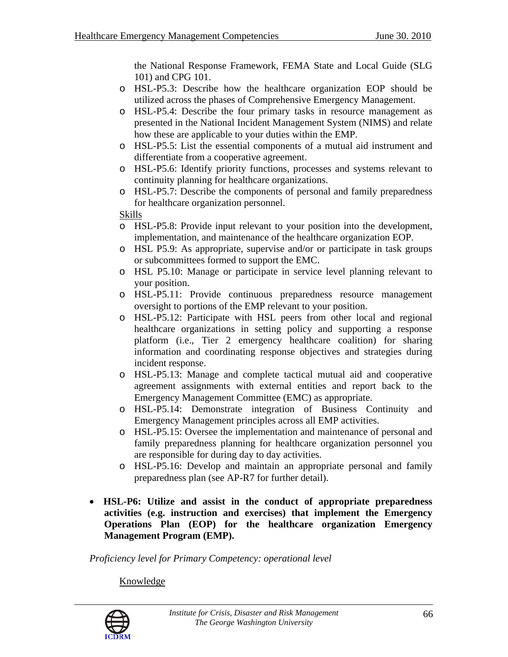the National Response Framework, FEMA State and Local Guide (SLG 101) and CPG 101.

- o HSL-P5.3: Describe how the healthcare organization EOP should be utilized across the phases of Comprehensive Emergency Management.
- o HSL-P5.4: Describe the four primary tasks in resource management as presented in the National Incident Management System (NIMS) and relate how these are applicable to your duties within the EMP.
- o HSL-P5.5: List the essential components of a mutual aid instrument and differentiate from a cooperative agreement.
- o HSL-P5.6: Identify priority functions, processes and systems relevant to continuity planning for healthcare organizations.
- o HSL-P5.7: Describe the components of personal and family preparedness for healthcare organization personnel.

Skills

- o HSL-P5.8: Provide input relevant to your position into the development, implementation, and maintenance of the healthcare organization EOP.
- o HSL P5.9: As appropriate, supervise and/or or participate in task groups or subcommittees formed to support the EMC.
- o HSL P5.10: Manage or participate in service level planning relevant to your position.
- o HSL-P5.11: Provide continuous preparedness resource management oversight to portions of the EMP relevant to your position.
- o HSL-P5.12: Participate with HSL peers from other local and regional healthcare organizations in setting policy and supporting a response platform (i.e., Tier 2 emergency healthcare coalition) for sharing information and coordinating response objectives and strategies during incident response.
- o HSL-P5.13: Manage and complete tactical mutual aid and cooperative agreement assignments with external entities and report back to the Emergency Management Committee (EMC) as appropriate.
- o HSL-P5.14: Demonstrate integration of Business Continuity and Emergency Management principles across all EMP activities.
- o HSL-P5.15: Oversee the implementation and maintenance of personal and family preparedness planning for healthcare organization personnel you are responsible for during day to day activities.
- o HSL-P5.16: Develop and maintain an appropriate personal and family preparedness plan (see AP-R7 for further detail).
- **HSL-P6: Utilize and assist in the conduct of appropriate preparedness activities (e.g. instruction and exercises) that implement the Emergency Operations Plan (EOP) for the healthcare organization Emergency Management Program (EMP).**

*Proficiency level for Primary Competency: operational level* 

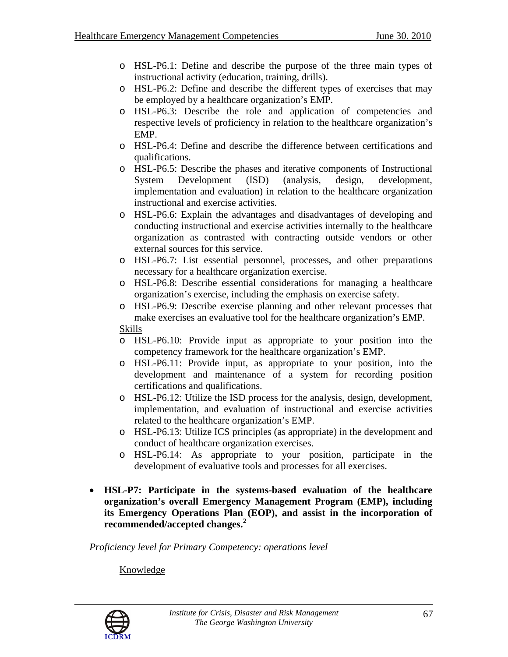- o HSL-P6.1: Define and describe the purpose of the three main types of instructional activity (education, training, drills).
- o HSL-P6.2: Define and describe the different types of exercises that may be employed by a healthcare organization's EMP.
- o HSL-P6.3: Describe the role and application of competencies and respective levels of proficiency in relation to the healthcare organization's EMP.
- o HSL-P6.4: Define and describe the difference between certifications and qualifications.
- o HSL-P6.5: Describe the phases and iterative components of Instructional System Development (ISD) (analysis, design, development, implementation and evaluation) in relation to the healthcare organization instructional and exercise activities.
- o HSL-P6.6: Explain the advantages and disadvantages of developing and conducting instructional and exercise activities internally to the healthcare organization as contrasted with contracting outside vendors or other external sources for this service.
- o HSL-P6.7: List essential personnel, processes, and other preparations necessary for a healthcare organization exercise.
- o HSL-P6.8: Describe essential considerations for managing a healthcare organization's exercise, including the emphasis on exercise safety.
- o HSL-P6.9: Describe exercise planning and other relevant processes that make exercises an evaluative tool for the healthcare organization's EMP. Skills
- o HSL-P6.10: Provide input as appropriate to your position into the competency framework for the healthcare organization's EMP.
	- o HSL-P6.11: Provide input, as appropriate to your position, into the development and maintenance of a system for recording position certifications and qualifications.
	- o HSL-P6.12: Utilize the ISD process for the analysis, design, development, implementation, and evaluation of instructional and exercise activities related to the healthcare organization's EMP.
	- o HSL-P6.13: Utilize ICS principles (as appropriate) in the development and conduct of healthcare organization exercises.
	- o HSL-P6.14: As appropriate to your position, participate in the development of evaluative tools and processes for all exercises.
- **HSL-P7: Participate in the systems-based evaluation of the healthcare organization's overall Emergency Management Program (EMP), including its Emergency Operations Plan (EOP), and assist in the incorporation of recommended/accepted changes.<sup>2</sup>**